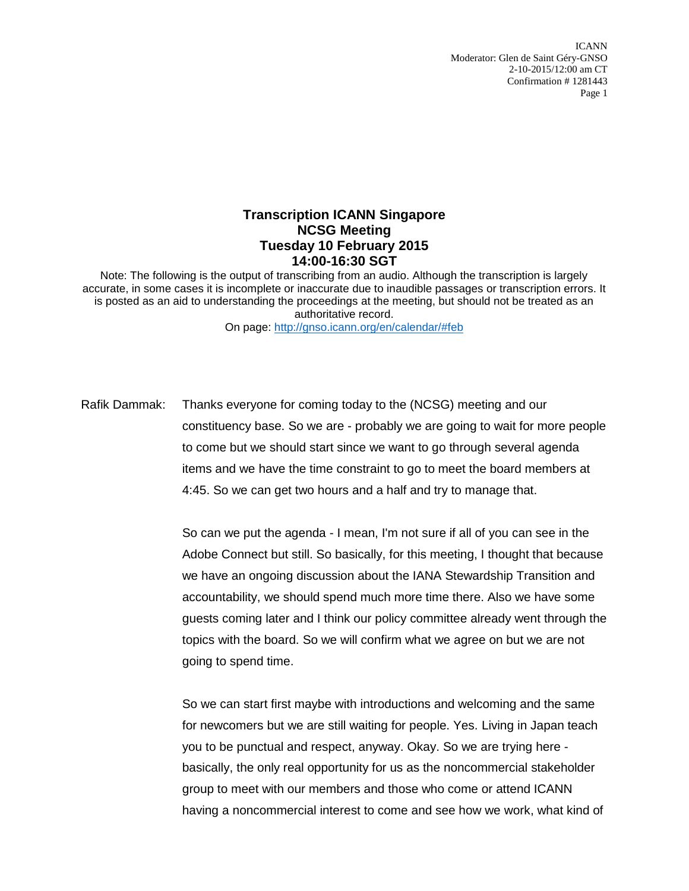## **Transcription ICANN Singapore NCSG Meeting Tuesday 10 February 2015 14:00-16:30 SGT**

Note: The following is the output of transcribing from an audio. Although the transcription is largely accurate, in some cases it is incomplete or inaccurate due to inaudible passages or transcription errors. It is posted as an aid to understanding the proceedings at the meeting, but should not be treated as an authoritative record.

On page:<http://gnso.icann.org/en/calendar/#feb>

Rafik Dammak: Thanks everyone for coming today to the (NCSG) meeting and our constituency base. So we are - probably we are going to wait for more people to come but we should start since we want to go through several agenda items and we have the time constraint to go to meet the board members at 4:45. So we can get two hours and a half and try to manage that.

> So can we put the agenda - I mean, I'm not sure if all of you can see in the Adobe Connect but still. So basically, for this meeting, I thought that because we have an ongoing discussion about the IANA Stewardship Transition and accountability, we should spend much more time there. Also we have some guests coming later and I think our policy committee already went through the topics with the board. So we will confirm what we agree on but we are not going to spend time.

> So we can start first maybe with introductions and welcoming and the same for newcomers but we are still waiting for people. Yes. Living in Japan teach you to be punctual and respect, anyway. Okay. So we are trying here basically, the only real opportunity for us as the noncommercial stakeholder group to meet with our members and those who come or attend ICANN having a noncommercial interest to come and see how we work, what kind of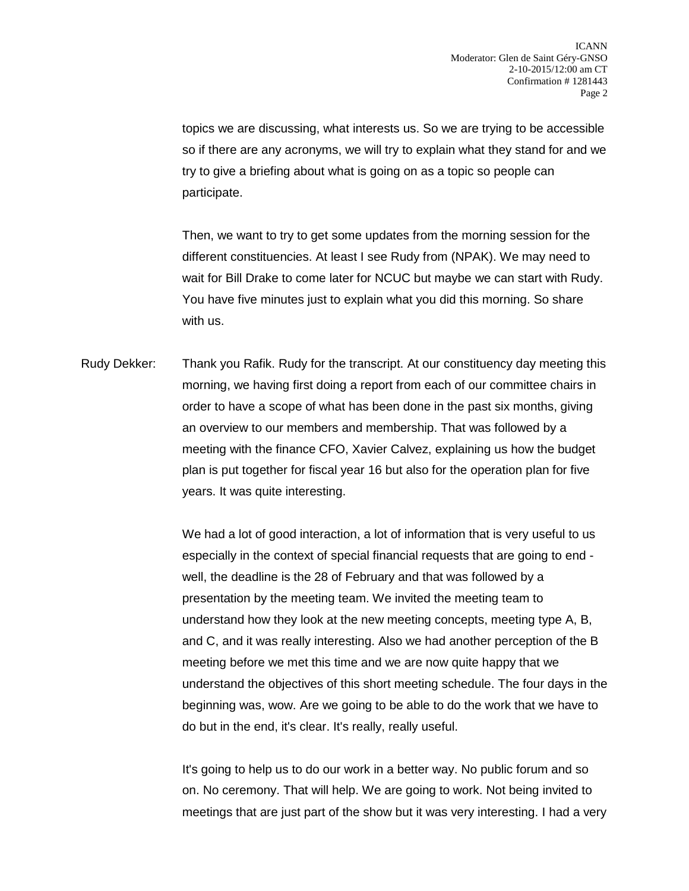topics we are discussing, what interests us. So we are trying to be accessible so if there are any acronyms, we will try to explain what they stand for and we try to give a briefing about what is going on as a topic so people can participate.

Then, we want to try to get some updates from the morning session for the different constituencies. At least I see Rudy from (NPAK). We may need to wait for Bill Drake to come later for NCUC but maybe we can start with Rudy. You have five minutes just to explain what you did this morning. So share with us.

Rudy Dekker: Thank you Rafik. Rudy for the transcript. At our constituency day meeting this morning, we having first doing a report from each of our committee chairs in order to have a scope of what has been done in the past six months, giving an overview to our members and membership. That was followed by a meeting with the finance CFO, Xavier Calvez, explaining us how the budget plan is put together for fiscal year 16 but also for the operation plan for five years. It was quite interesting.

> We had a lot of good interaction, a lot of information that is very useful to us especially in the context of special financial requests that are going to end well, the deadline is the 28 of February and that was followed by a presentation by the meeting team. We invited the meeting team to understand how they look at the new meeting concepts, meeting type A, B, and C, and it was really interesting. Also we had another perception of the B meeting before we met this time and we are now quite happy that we understand the objectives of this short meeting schedule. The four days in the beginning was, wow. Are we going to be able to do the work that we have to do but in the end, it's clear. It's really, really useful.

> It's going to help us to do our work in a better way. No public forum and so on. No ceremony. That will help. We are going to work. Not being invited to meetings that are just part of the show but it was very interesting. I had a very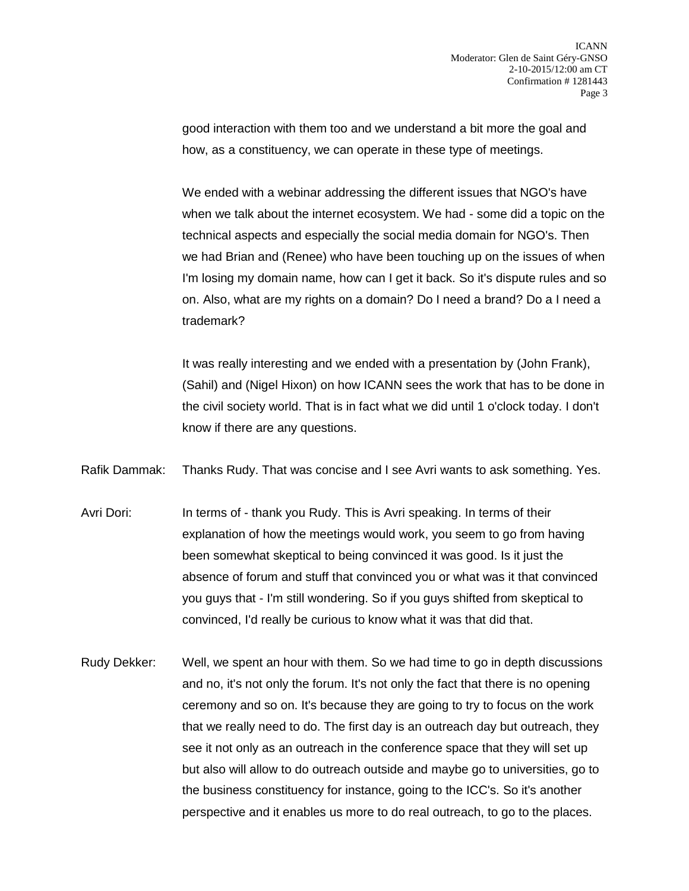good interaction with them too and we understand a bit more the goal and how, as a constituency, we can operate in these type of meetings.

We ended with a webinar addressing the different issues that NGO's have when we talk about the internet ecosystem. We had - some did a topic on the technical aspects and especially the social media domain for NGO's. Then we had Brian and (Renee) who have been touching up on the issues of when I'm losing my domain name, how can I get it back. So it's dispute rules and so on. Also, what are my rights on a domain? Do I need a brand? Do a I need a trademark?

It was really interesting and we ended with a presentation by (John Frank), (Sahil) and (Nigel Hixon) on how ICANN sees the work that has to be done in the civil society world. That is in fact what we did until 1 o'clock today. I don't know if there are any questions.

Rafik Dammak: Thanks Rudy. That was concise and I see Avri wants to ask something. Yes.

- Avri Dori: In terms of thank you Rudy. This is Avri speaking. In terms of their explanation of how the meetings would work, you seem to go from having been somewhat skeptical to being convinced it was good. Is it just the absence of forum and stuff that convinced you or what was it that convinced you guys that - I'm still wondering. So if you guys shifted from skeptical to convinced, I'd really be curious to know what it was that did that.
- Rudy Dekker: Well, we spent an hour with them. So we had time to go in depth discussions and no, it's not only the forum. It's not only the fact that there is no opening ceremony and so on. It's because they are going to try to focus on the work that we really need to do. The first day is an outreach day but outreach, they see it not only as an outreach in the conference space that they will set up but also will allow to do outreach outside and maybe go to universities, go to the business constituency for instance, going to the ICC's. So it's another perspective and it enables us more to do real outreach, to go to the places.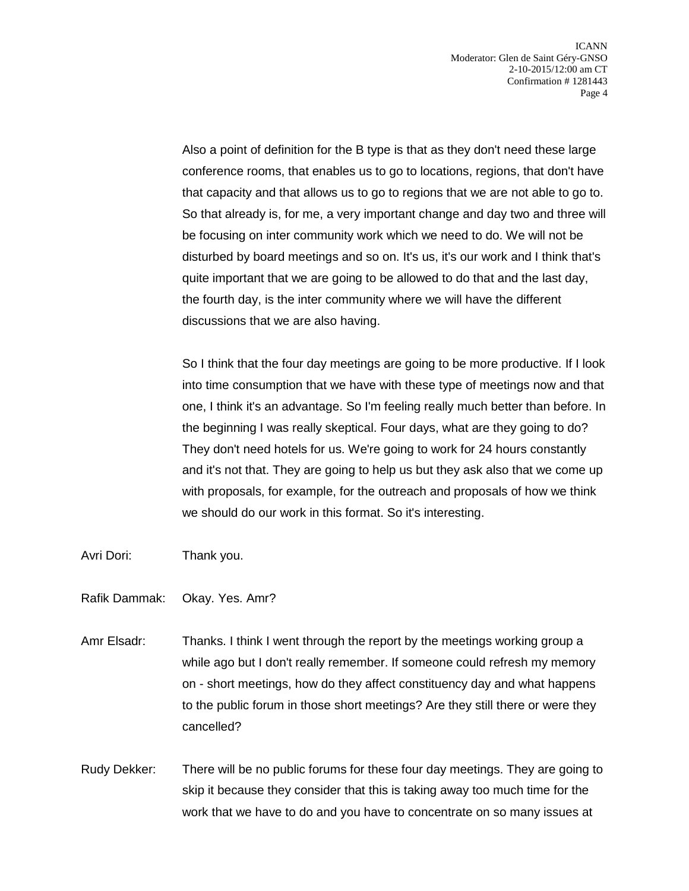Also a point of definition for the B type is that as they don't need these large conference rooms, that enables us to go to locations, regions, that don't have that capacity and that allows us to go to regions that we are not able to go to. So that already is, for me, a very important change and day two and three will be focusing on inter community work which we need to do. We will not be disturbed by board meetings and so on. It's us, it's our work and I think that's quite important that we are going to be allowed to do that and the last day, the fourth day, is the inter community where we will have the different discussions that we are also having.

So I think that the four day meetings are going to be more productive. If I look into time consumption that we have with these type of meetings now and that one, I think it's an advantage. So I'm feeling really much better than before. In the beginning I was really skeptical. Four days, what are they going to do? They don't need hotels for us. We're going to work for 24 hours constantly and it's not that. They are going to help us but they ask also that we come up with proposals, for example, for the outreach and proposals of how we think we should do our work in this format. So it's interesting.

- Avri Dori: Thank you.
- Rafik Dammak: Okay. Yes. Amr?
- Amr Elsadr: Thanks. I think I went through the report by the meetings working group a while ago but I don't really remember. If someone could refresh my memory on - short meetings, how do they affect constituency day and what happens to the public forum in those short meetings? Are they still there or were they cancelled?
- Rudy Dekker: There will be no public forums for these four day meetings. They are going to skip it because they consider that this is taking away too much time for the work that we have to do and you have to concentrate on so many issues at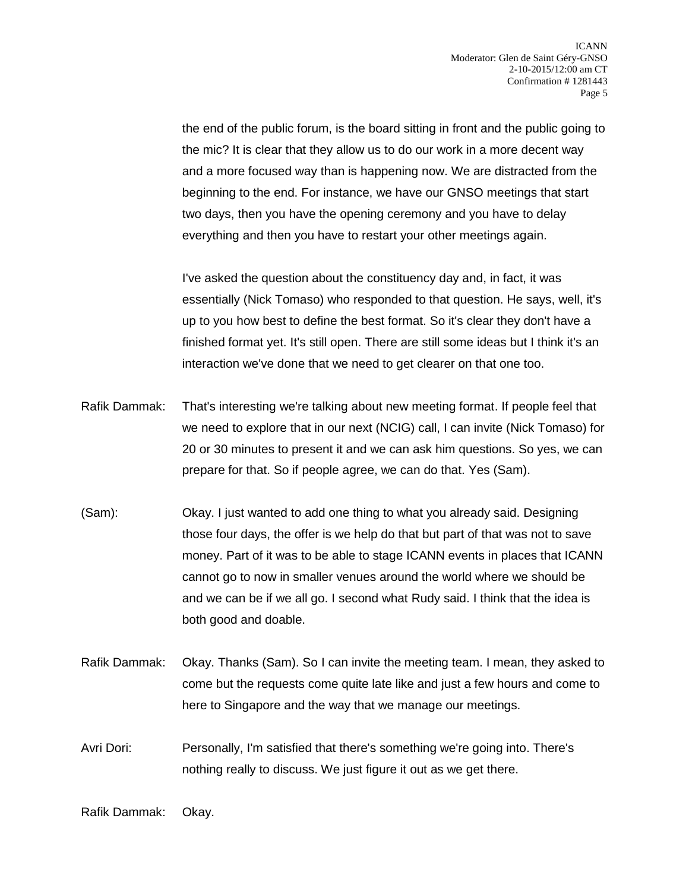the end of the public forum, is the board sitting in front and the public going to the mic? It is clear that they allow us to do our work in a more decent way and a more focused way than is happening now. We are distracted from the beginning to the end. For instance, we have our GNSO meetings that start two days, then you have the opening ceremony and you have to delay everything and then you have to restart your other meetings again.

I've asked the question about the constituency day and, in fact, it was essentially (Nick Tomaso) who responded to that question. He says, well, it's up to you how best to define the best format. So it's clear they don't have a finished format yet. It's still open. There are still some ideas but I think it's an interaction we've done that we need to get clearer on that one too.

- Rafik Dammak: That's interesting we're talking about new meeting format. If people feel that we need to explore that in our next (NCIG) call, I can invite (Nick Tomaso) for 20 or 30 minutes to present it and we can ask him questions. So yes, we can prepare for that. So if people agree, we can do that. Yes (Sam).
- (Sam): Okay. I just wanted to add one thing to what you already said. Designing those four days, the offer is we help do that but part of that was not to save money. Part of it was to be able to stage ICANN events in places that ICANN cannot go to now in smaller venues around the world where we should be and we can be if we all go. I second what Rudy said. I think that the idea is both good and doable.
- Rafik Dammak: Okay. Thanks (Sam). So I can invite the meeting team. I mean, they asked to come but the requests come quite late like and just a few hours and come to here to Singapore and the way that we manage our meetings.
- Avri Dori: Personally, I'm satisfied that there's something we're going into. There's nothing really to discuss. We just figure it out as we get there.

```
Rafik Dammak: Okay.
```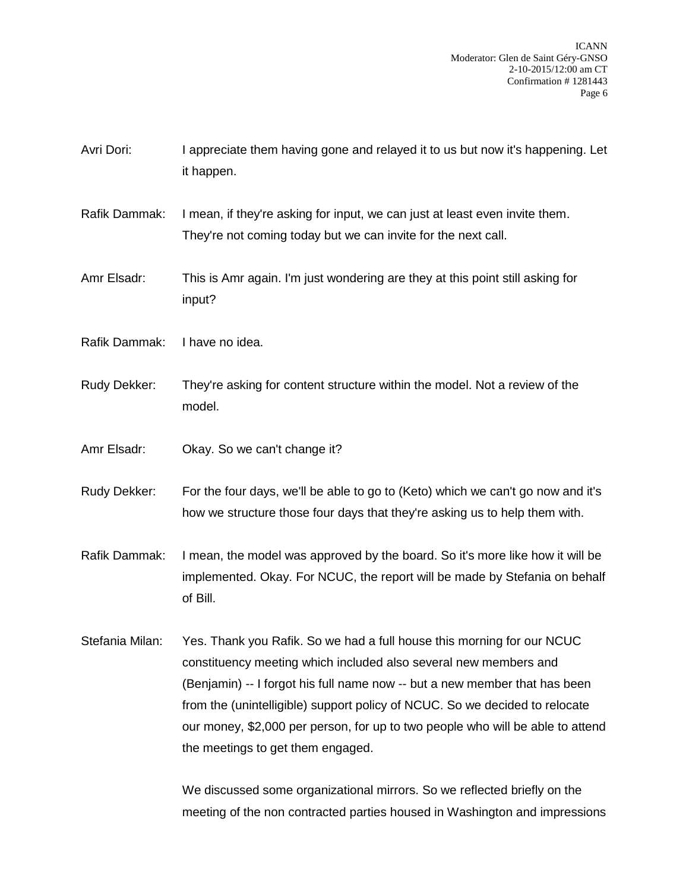- Avri Dori: I appreciate them having gone and relayed it to us but now it's happening. Let it happen.
- Rafik Dammak: I mean, if they're asking for input, we can just at least even invite them. They're not coming today but we can invite for the next call.
- Amr Elsadr: This is Amr again. I'm just wondering are they at this point still asking for input?
- Rafik Dammak: I have no idea.
- Rudy Dekker: They're asking for content structure within the model. Not a review of the model.
- Amr Elsadr: Okay. So we can't change it?
- Rudy Dekker: For the four days, we'll be able to go to (Keto) which we can't go now and it's how we structure those four days that they're asking us to help them with.
- Rafik Dammak: I mean, the model was approved by the board. So it's more like how it will be implemented. Okay. For NCUC, the report will be made by Stefania on behalf of Bill.
- Stefania Milan: Yes. Thank you Rafik. So we had a full house this morning for our NCUC constituency meeting which included also several new members and (Benjamin) -- I forgot his full name now -- but a new member that has been from the (unintelligible) support policy of NCUC. So we decided to relocate our money, \$2,000 per person, for up to two people who will be able to attend the meetings to get them engaged.

We discussed some organizational mirrors. So we reflected briefly on the meeting of the non contracted parties housed in Washington and impressions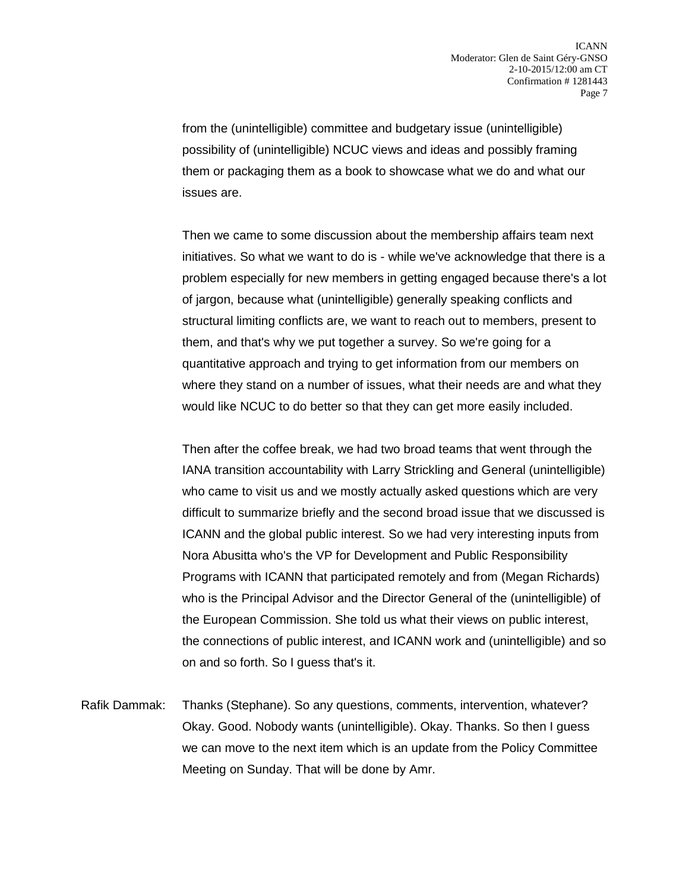from the (unintelligible) committee and budgetary issue (unintelligible) possibility of (unintelligible) NCUC views and ideas and possibly framing them or packaging them as a book to showcase what we do and what our issues are.

Then we came to some discussion about the membership affairs team next initiatives. So what we want to do is - while we've acknowledge that there is a problem especially for new members in getting engaged because there's a lot of jargon, because what (unintelligible) generally speaking conflicts and structural limiting conflicts are, we want to reach out to members, present to them, and that's why we put together a survey. So we're going for a quantitative approach and trying to get information from our members on where they stand on a number of issues, what their needs are and what they would like NCUC to do better so that they can get more easily included.

Then after the coffee break, we had two broad teams that went through the IANA transition accountability with Larry Strickling and General (unintelligible) who came to visit us and we mostly actually asked questions which are very difficult to summarize briefly and the second broad issue that we discussed is ICANN and the global public interest. So we had very interesting inputs from Nora Abusitta who's the VP for Development and Public Responsibility Programs with ICANN that participated remotely and from (Megan Richards) who is the Principal Advisor and the Director General of the (unintelligible) of the European Commission. She told us what their views on public interest, the connections of public interest, and ICANN work and (unintelligible) and so on and so forth. So I guess that's it.

Rafik Dammak: Thanks (Stephane). So any questions, comments, intervention, whatever? Okay. Good. Nobody wants (unintelligible). Okay. Thanks. So then I guess we can move to the next item which is an update from the Policy Committee Meeting on Sunday. That will be done by Amr.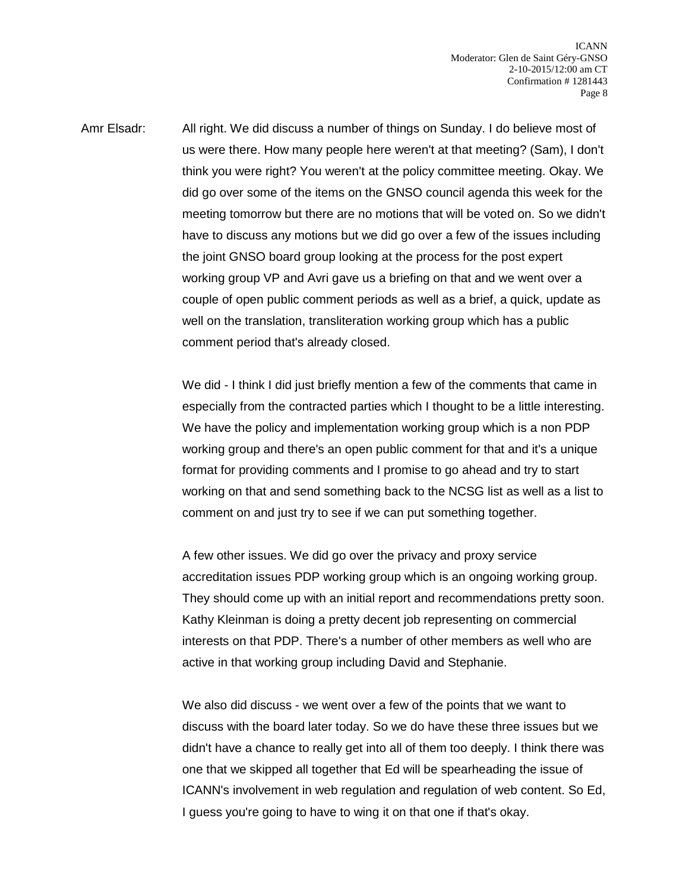Amr Elsadr: All right. We did discuss a number of things on Sunday. I do believe most of us were there. How many people here weren't at that meeting? (Sam), I don't think you were right? You weren't at the policy committee meeting. Okay. We did go over some of the items on the GNSO council agenda this week for the meeting tomorrow but there are no motions that will be voted on. So we didn't have to discuss any motions but we did go over a few of the issues including the joint GNSO board group looking at the process for the post expert working group VP and Avri gave us a briefing on that and we went over a couple of open public comment periods as well as a brief, a quick, update as well on the translation, transliteration working group which has a public comment period that's already closed.

> We did - I think I did just briefly mention a few of the comments that came in especially from the contracted parties which I thought to be a little interesting. We have the policy and implementation working group which is a non PDP working group and there's an open public comment for that and it's a unique format for providing comments and I promise to go ahead and try to start working on that and send something back to the NCSG list as well as a list to comment on and just try to see if we can put something together.

> A few other issues. We did go over the privacy and proxy service accreditation issues PDP working group which is an ongoing working group. They should come up with an initial report and recommendations pretty soon. Kathy Kleinman is doing a pretty decent job representing on commercial interests on that PDP. There's a number of other members as well who are active in that working group including David and Stephanie.

> We also did discuss - we went over a few of the points that we want to discuss with the board later today. So we do have these three issues but we didn't have a chance to really get into all of them too deeply. I think there was one that we skipped all together that Ed will be spearheading the issue of ICANN's involvement in web regulation and regulation of web content. So Ed, I guess you're going to have to wing it on that one if that's okay.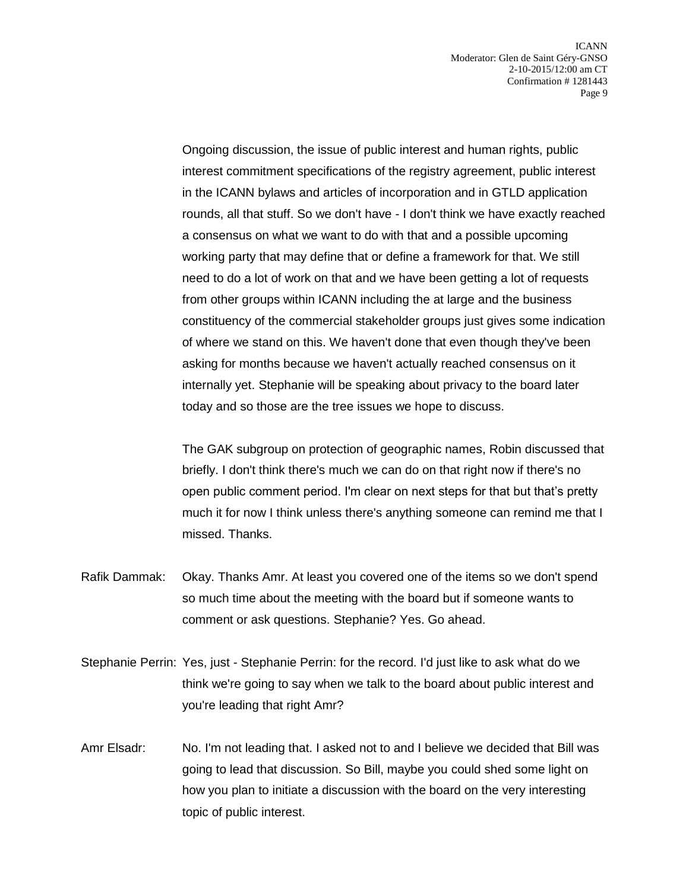Ongoing discussion, the issue of public interest and human rights, public interest commitment specifications of the registry agreement, public interest in the ICANN bylaws and articles of incorporation and in GTLD application rounds, all that stuff. So we don't have - I don't think we have exactly reached a consensus on what we want to do with that and a possible upcoming working party that may define that or define a framework for that. We still need to do a lot of work on that and we have been getting a lot of requests from other groups within ICANN including the at large and the business constituency of the commercial stakeholder groups just gives some indication of where we stand on this. We haven't done that even though they've been asking for months because we haven't actually reached consensus on it internally yet. Stephanie will be speaking about privacy to the board later today and so those are the tree issues we hope to discuss.

The GAK subgroup on protection of geographic names, Robin discussed that briefly. I don't think there's much we can do on that right now if there's no open public comment period. I'm clear on next steps for that but that's pretty much it for now I think unless there's anything someone can remind me that I missed. Thanks.

- Rafik Dammak: Okay. Thanks Amr. At least you covered one of the items so we don't spend so much time about the meeting with the board but if someone wants to comment or ask questions. Stephanie? Yes. Go ahead.
- Stephanie Perrin: Yes, just Stephanie Perrin: for the record. I'd just like to ask what do we think we're going to say when we talk to the board about public interest and you're leading that right Amr?
- Amr Elsadr: No. I'm not leading that. I asked not to and I believe we decided that Bill was going to lead that discussion. So Bill, maybe you could shed some light on how you plan to initiate a discussion with the board on the very interesting topic of public interest.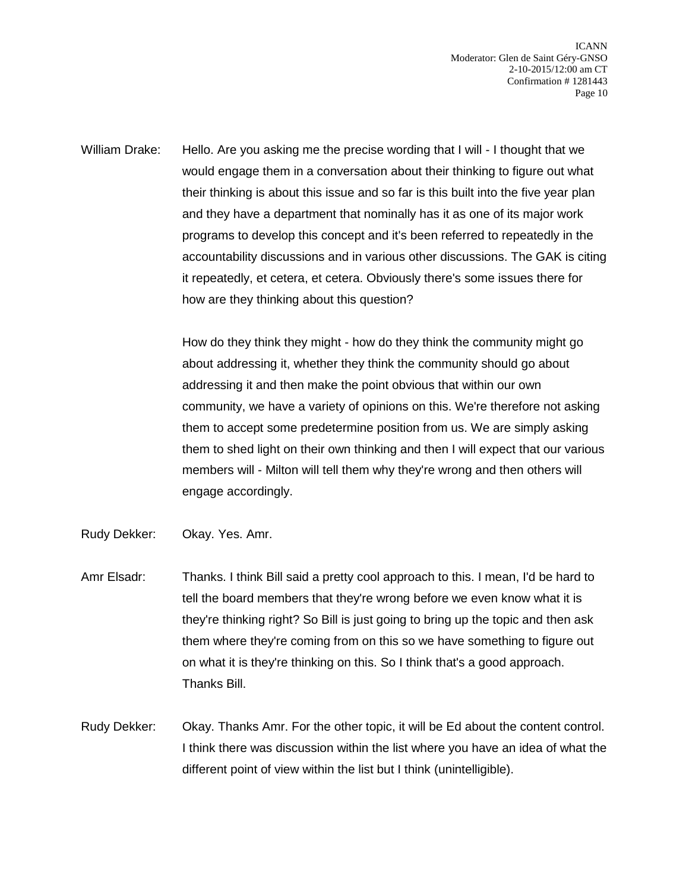William Drake: Hello. Are you asking me the precise wording that I will - I thought that we would engage them in a conversation about their thinking to figure out what their thinking is about this issue and so far is this built into the five year plan and they have a department that nominally has it as one of its major work programs to develop this concept and it's been referred to repeatedly in the accountability discussions and in various other discussions. The GAK is citing it repeatedly, et cetera, et cetera. Obviously there's some issues there for how are they thinking about this question?

> How do they think they might - how do they think the community might go about addressing it, whether they think the community should go about addressing it and then make the point obvious that within our own community, we have a variety of opinions on this. We're therefore not asking them to accept some predetermine position from us. We are simply asking them to shed light on their own thinking and then I will expect that our various members will - Milton will tell them why they're wrong and then others will engage accordingly.

- Rudy Dekker: Okay. Yes. Amr.
- Amr Elsadr: Thanks. I think Bill said a pretty cool approach to this. I mean, I'd be hard to tell the board members that they're wrong before we even know what it is they're thinking right? So Bill is just going to bring up the topic and then ask them where they're coming from on this so we have something to figure out on what it is they're thinking on this. So I think that's a good approach. Thanks Bill.
- Rudy Dekker: Okay. Thanks Amr. For the other topic, it will be Ed about the content control. I think there was discussion within the list where you have an idea of what the different point of view within the list but I think (unintelligible).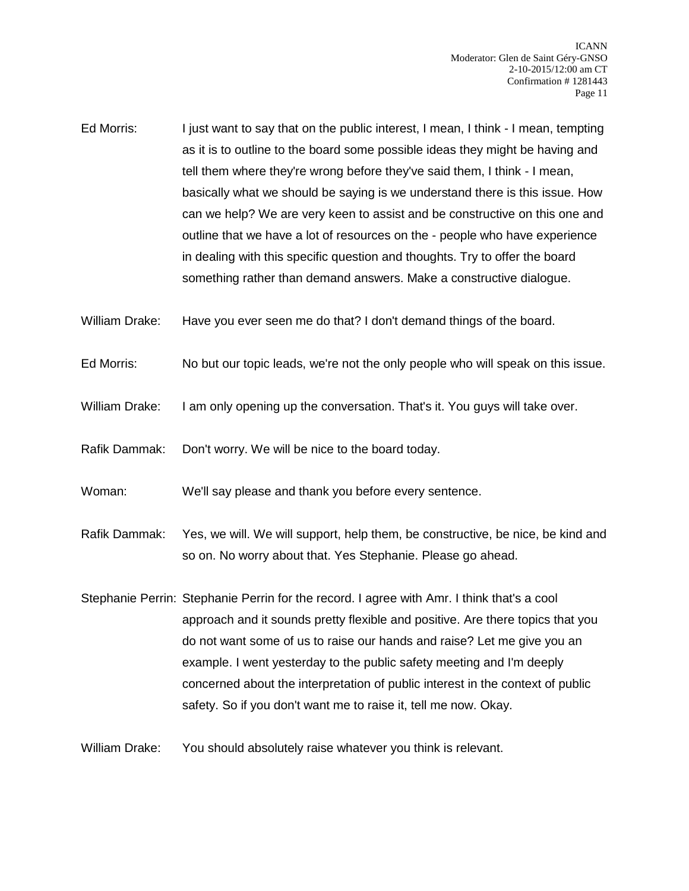Ed Morris: I just want to say that on the public interest, I mean, I think - I mean, tempting as it is to outline to the board some possible ideas they might be having and tell them where they're wrong before they've said them, I think - I mean, basically what we should be saying is we understand there is this issue. How can we help? We are very keen to assist and be constructive on this one and outline that we have a lot of resources on the - people who have experience in dealing with this specific question and thoughts. Try to offer the board something rather than demand answers. Make a constructive dialogue.

William Drake: Have you ever seen me do that? I don't demand things of the board.

Ed Morris: No but our topic leads, we're not the only people who will speak on this issue.

William Drake: I am only opening up the conversation. That's it. You guys will take over.

Rafik Dammak: Don't worry. We will be nice to the board today.

Woman: We'll say please and thank you before every sentence.

Rafik Dammak: Yes, we will. We will support, help them, be constructive, be nice, be kind and so on. No worry about that. Yes Stephanie. Please go ahead.

Stephanie Perrin: Stephanie Perrin for the record. I agree with Amr. I think that's a cool approach and it sounds pretty flexible and positive. Are there topics that you do not want some of us to raise our hands and raise? Let me give you an example. I went yesterday to the public safety meeting and I'm deeply concerned about the interpretation of public interest in the context of public safety. So if you don't want me to raise it, tell me now. Okay.

William Drake: You should absolutely raise whatever you think is relevant.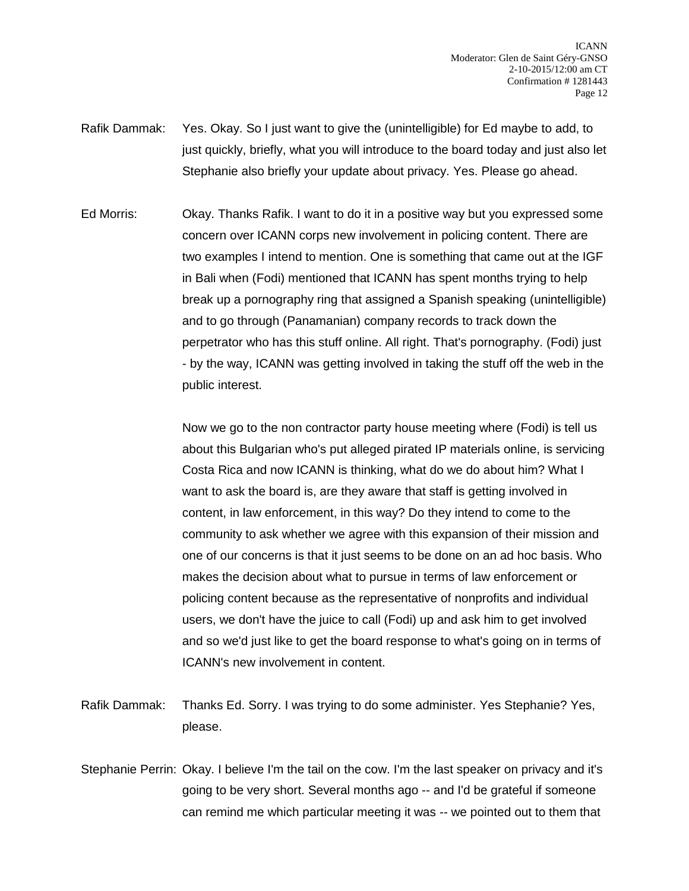- Rafik Dammak: Yes. Okay. So I just want to give the (unintelligible) for Ed maybe to add, to just quickly, briefly, what you will introduce to the board today and just also let Stephanie also briefly your update about privacy. Yes. Please go ahead.
- Ed Morris: Okay. Thanks Rafik. I want to do it in a positive way but you expressed some concern over ICANN corps new involvement in policing content. There are two examples I intend to mention. One is something that came out at the IGF in Bali when (Fodi) mentioned that ICANN has spent months trying to help break up a pornography ring that assigned a Spanish speaking (unintelligible) and to go through (Panamanian) company records to track down the perpetrator who has this stuff online. All right. That's pornography. (Fodi) just - by the way, ICANN was getting involved in taking the stuff off the web in the public interest.

Now we go to the non contractor party house meeting where (Fodi) is tell us about this Bulgarian who's put alleged pirated IP materials online, is servicing Costa Rica and now ICANN is thinking, what do we do about him? What I want to ask the board is, are they aware that staff is getting involved in content, in law enforcement, in this way? Do they intend to come to the community to ask whether we agree with this expansion of their mission and one of our concerns is that it just seems to be done on an ad hoc basis. Who makes the decision about what to pursue in terms of law enforcement or policing content because as the representative of nonprofits and individual users, we don't have the juice to call (Fodi) up and ask him to get involved and so we'd just like to get the board response to what's going on in terms of ICANN's new involvement in content.

- Rafik Dammak: Thanks Ed. Sorry. I was trying to do some administer. Yes Stephanie? Yes, please.
- Stephanie Perrin: Okay. I believe I'm the tail on the cow. I'm the last speaker on privacy and it's going to be very short. Several months ago -- and I'd be grateful if someone can remind me which particular meeting it was -- we pointed out to them that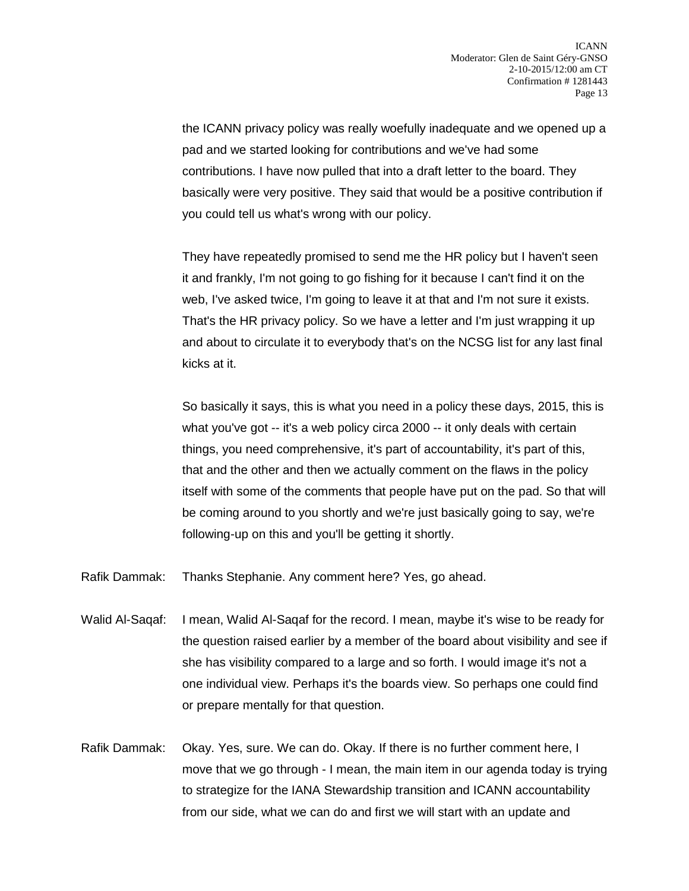the ICANN privacy policy was really woefully inadequate and we opened up a pad and we started looking for contributions and we've had some contributions. I have now pulled that into a draft letter to the board. They basically were very positive. They said that would be a positive contribution if you could tell us what's wrong with our policy.

They have repeatedly promised to send me the HR policy but I haven't seen it and frankly, I'm not going to go fishing for it because I can't find it on the web, I've asked twice, I'm going to leave it at that and I'm not sure it exists. That's the HR privacy policy. So we have a letter and I'm just wrapping it up and about to circulate it to everybody that's on the NCSG list for any last final kicks at it.

So basically it says, this is what you need in a policy these days, 2015, this is what you've got -- it's a web policy circa 2000 -- it only deals with certain things, you need comprehensive, it's part of accountability, it's part of this, that and the other and then we actually comment on the flaws in the policy itself with some of the comments that people have put on the pad. So that will be coming around to you shortly and we're just basically going to say, we're following-up on this and you'll be getting it shortly.

Rafik Dammak: Thanks Stephanie. Any comment here? Yes, go ahead.

- Walid Al-Saqaf: I mean, Walid Al-Saqaf for the record. I mean, maybe it's wise to be ready for the question raised earlier by a member of the board about visibility and see if she has visibility compared to a large and so forth. I would image it's not a one individual view. Perhaps it's the boards view. So perhaps one could find or prepare mentally for that question.
- Rafik Dammak: Okay. Yes, sure. We can do. Okay. If there is no further comment here, I move that we go through - I mean, the main item in our agenda today is trying to strategize for the IANA Stewardship transition and ICANN accountability from our side, what we can do and first we will start with an update and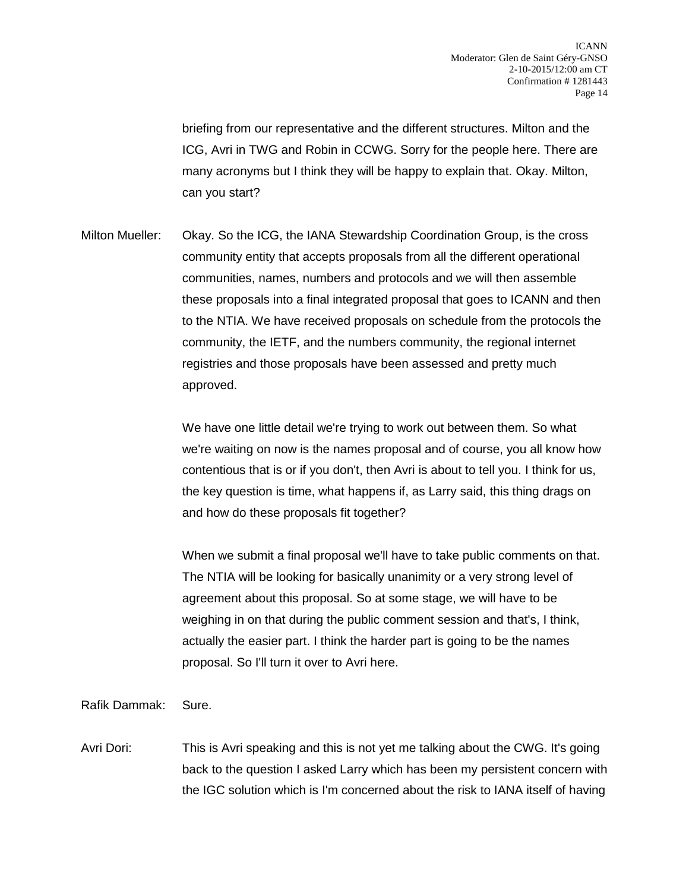briefing from our representative and the different structures. Milton and the ICG, Avri in TWG and Robin in CCWG. Sorry for the people here. There are many acronyms but I think they will be happy to explain that. Okay. Milton, can you start?

Milton Mueller: Okay. So the ICG, the IANA Stewardship Coordination Group, is the cross community entity that accepts proposals from all the different operational communities, names, numbers and protocols and we will then assemble these proposals into a final integrated proposal that goes to ICANN and then to the NTIA. We have received proposals on schedule from the protocols the community, the IETF, and the numbers community, the regional internet registries and those proposals have been assessed and pretty much approved.

> We have one little detail we're trying to work out between them. So what we're waiting on now is the names proposal and of course, you all know how contentious that is or if you don't, then Avri is about to tell you. I think for us, the key question is time, what happens if, as Larry said, this thing drags on and how do these proposals fit together?

> When we submit a final proposal we'll have to take public comments on that. The NTIA will be looking for basically unanimity or a very strong level of agreement about this proposal. So at some stage, we will have to be weighing in on that during the public comment session and that's, I think, actually the easier part. I think the harder part is going to be the names proposal. So I'll turn it over to Avri here.

Rafik Dammak: Sure.

Avri Dori: This is Avri speaking and this is not yet me talking about the CWG. It's going back to the question I asked Larry which has been my persistent concern with the IGC solution which is I'm concerned about the risk to IANA itself of having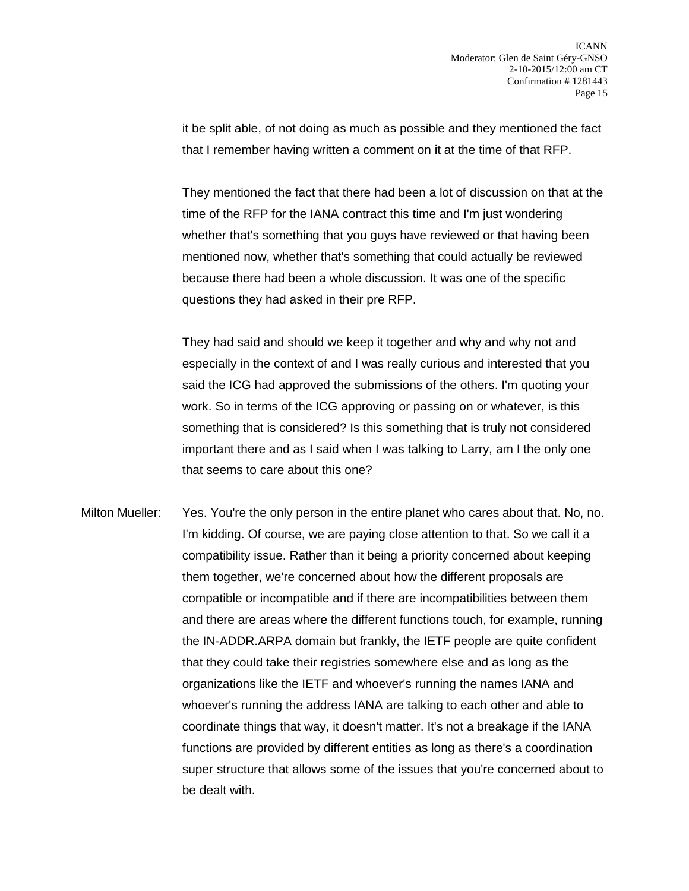it be split able, of not doing as much as possible and they mentioned the fact that I remember having written a comment on it at the time of that RFP.

They mentioned the fact that there had been a lot of discussion on that at the time of the RFP for the IANA contract this time and I'm just wondering whether that's something that you guys have reviewed or that having been mentioned now, whether that's something that could actually be reviewed because there had been a whole discussion. It was one of the specific questions they had asked in their pre RFP.

They had said and should we keep it together and why and why not and especially in the context of and I was really curious and interested that you said the ICG had approved the submissions of the others. I'm quoting your work. So in terms of the ICG approving or passing on or whatever, is this something that is considered? Is this something that is truly not considered important there and as I said when I was talking to Larry, am I the only one that seems to care about this one?

Milton Mueller: Yes. You're the only person in the entire planet who cares about that. No, no. I'm kidding. Of course, we are paying close attention to that. So we call it a compatibility issue. Rather than it being a priority concerned about keeping them together, we're concerned about how the different proposals are compatible or incompatible and if there are incompatibilities between them and there are areas where the different functions touch, for example, running the IN-ADDR.ARPA domain but frankly, the IETF people are quite confident that they could take their registries somewhere else and as long as the organizations like the IETF and whoever's running the names IANA and whoever's running the address IANA are talking to each other and able to coordinate things that way, it doesn't matter. It's not a breakage if the IANA functions are provided by different entities as long as there's a coordination super structure that allows some of the issues that you're concerned about to be dealt with.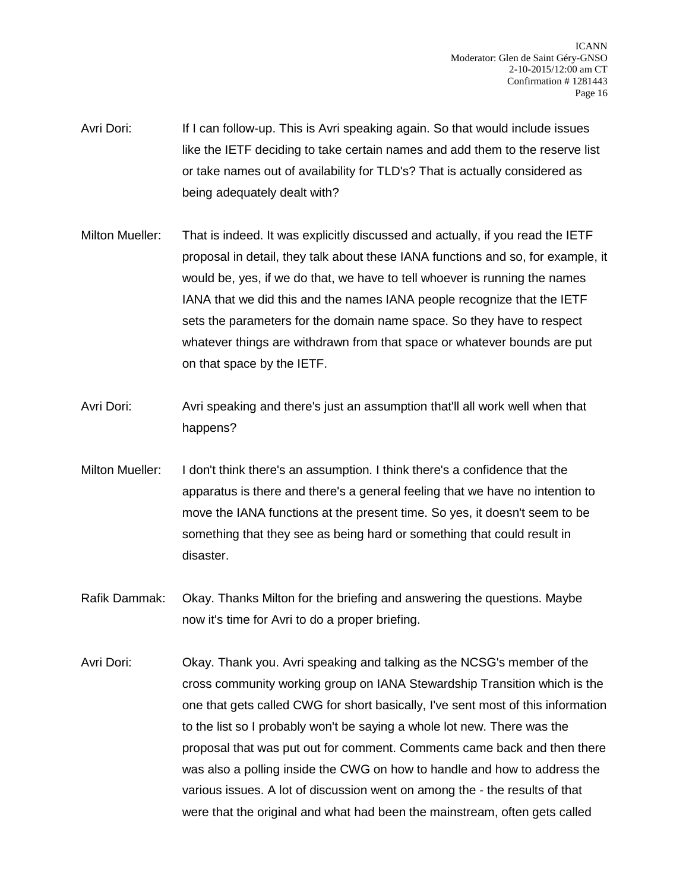Avri Dori: If I can follow-up. This is Avri speaking again. So that would include issues like the IETF deciding to take certain names and add them to the reserve list or take names out of availability for TLD's? That is actually considered as being adequately dealt with?

- Milton Mueller: That is indeed. It was explicitly discussed and actually, if you read the IETF proposal in detail, they talk about these IANA functions and so, for example, it would be, yes, if we do that, we have to tell whoever is running the names IANA that we did this and the names IANA people recognize that the IETF sets the parameters for the domain name space. So they have to respect whatever things are withdrawn from that space or whatever bounds are put on that space by the IETF.
- Avri Dori: Avri speaking and there's just an assumption that'll all work well when that happens?
- Milton Mueller: I don't think there's an assumption. I think there's a confidence that the apparatus is there and there's a general feeling that we have no intention to move the IANA functions at the present time. So yes, it doesn't seem to be something that they see as being hard or something that could result in disaster.
- Rafik Dammak: Okay. Thanks Milton for the briefing and answering the questions. Maybe now it's time for Avri to do a proper briefing.
- Avri Dori: Okay. Thank you. Avri speaking and talking as the NCSG's member of the cross community working group on IANA Stewardship Transition which is the one that gets called CWG for short basically, I've sent most of this information to the list so I probably won't be saying a whole lot new. There was the proposal that was put out for comment. Comments came back and then there was also a polling inside the CWG on how to handle and how to address the various issues. A lot of discussion went on among the - the results of that were that the original and what had been the mainstream, often gets called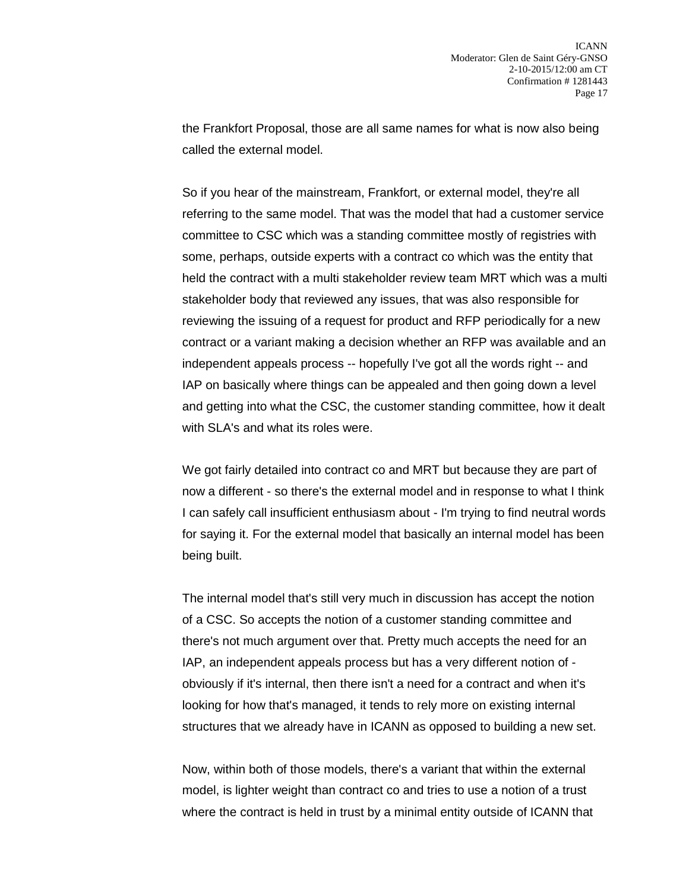the Frankfort Proposal, those are all same names for what is now also being called the external model.

So if you hear of the mainstream, Frankfort, or external model, they're all referring to the same model. That was the model that had a customer service committee to CSC which was a standing committee mostly of registries with some, perhaps, outside experts with a contract co which was the entity that held the contract with a multi stakeholder review team MRT which was a multi stakeholder body that reviewed any issues, that was also responsible for reviewing the issuing of a request for product and RFP periodically for a new contract or a variant making a decision whether an RFP was available and an independent appeals process -- hopefully I've got all the words right -- and IAP on basically where things can be appealed and then going down a level and getting into what the CSC, the customer standing committee, how it dealt with SLA's and what its roles were.

We got fairly detailed into contract co and MRT but because they are part of now a different - so there's the external model and in response to what I think I can safely call insufficient enthusiasm about - I'm trying to find neutral words for saying it. For the external model that basically an internal model has been being built.

The internal model that's still very much in discussion has accept the notion of a CSC. So accepts the notion of a customer standing committee and there's not much argument over that. Pretty much accepts the need for an IAP, an independent appeals process but has a very different notion of obviously if it's internal, then there isn't a need for a contract and when it's looking for how that's managed, it tends to rely more on existing internal structures that we already have in ICANN as opposed to building a new set.

Now, within both of those models, there's a variant that within the external model, is lighter weight than contract co and tries to use a notion of a trust where the contract is held in trust by a minimal entity outside of ICANN that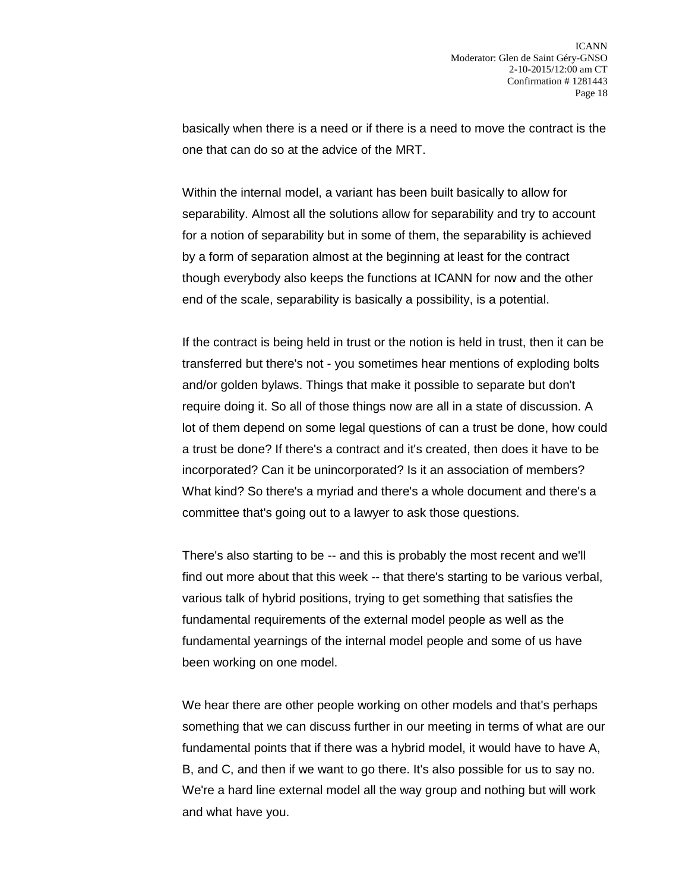basically when there is a need or if there is a need to move the contract is the one that can do so at the advice of the MRT.

Within the internal model, a variant has been built basically to allow for separability. Almost all the solutions allow for separability and try to account for a notion of separability but in some of them, the separability is achieved by a form of separation almost at the beginning at least for the contract though everybody also keeps the functions at ICANN for now and the other end of the scale, separability is basically a possibility, is a potential.

If the contract is being held in trust or the notion is held in trust, then it can be transferred but there's not - you sometimes hear mentions of exploding bolts and/or golden bylaws. Things that make it possible to separate but don't require doing it. So all of those things now are all in a state of discussion. A lot of them depend on some legal questions of can a trust be done, how could a trust be done? If there's a contract and it's created, then does it have to be incorporated? Can it be unincorporated? Is it an association of members? What kind? So there's a myriad and there's a whole document and there's a committee that's going out to a lawyer to ask those questions.

There's also starting to be -- and this is probably the most recent and we'll find out more about that this week -- that there's starting to be various verbal, various talk of hybrid positions, trying to get something that satisfies the fundamental requirements of the external model people as well as the fundamental yearnings of the internal model people and some of us have been working on one model.

We hear there are other people working on other models and that's perhaps something that we can discuss further in our meeting in terms of what are our fundamental points that if there was a hybrid model, it would have to have A, B, and C, and then if we want to go there. It's also possible for us to say no. We're a hard line external model all the way group and nothing but will work and what have you.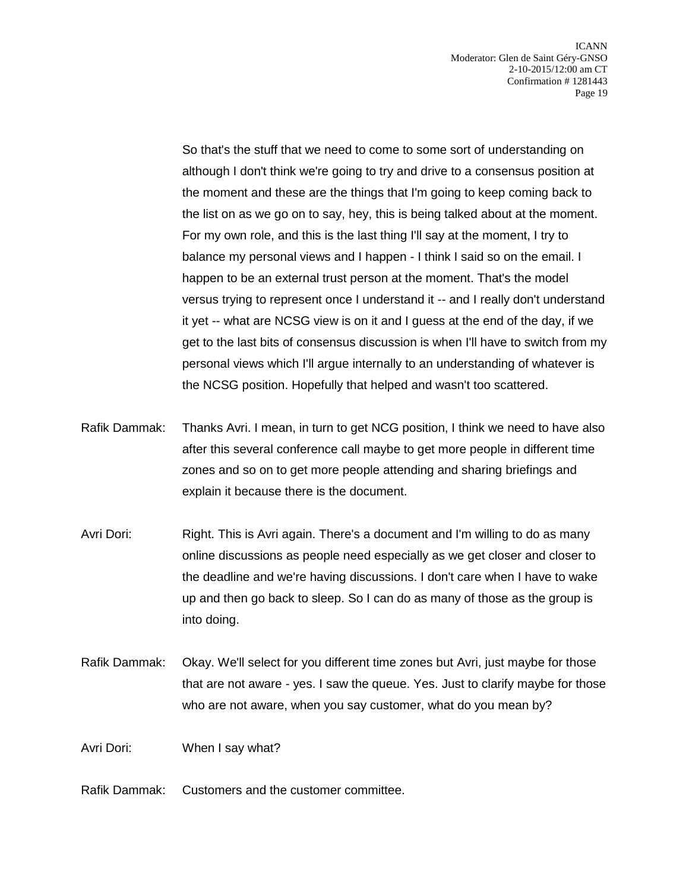So that's the stuff that we need to come to some sort of understanding on although I don't think we're going to try and drive to a consensus position at the moment and these are the things that I'm going to keep coming back to the list on as we go on to say, hey, this is being talked about at the moment. For my own role, and this is the last thing I'll say at the moment, I try to balance my personal views and I happen - I think I said so on the email. I happen to be an external trust person at the moment. That's the model versus trying to represent once I understand it -- and I really don't understand it yet -- what are NCSG view is on it and I guess at the end of the day, if we get to the last bits of consensus discussion is when I'll have to switch from my personal views which I'll argue internally to an understanding of whatever is the NCSG position. Hopefully that helped and wasn't too scattered.

- Rafik Dammak: Thanks Avri. I mean, in turn to get NCG position, I think we need to have also after this several conference call maybe to get more people in different time zones and so on to get more people attending and sharing briefings and explain it because there is the document.
- Avri Dori: Right. This is Avri again. There's a document and I'm willing to do as many online discussions as people need especially as we get closer and closer to the deadline and we're having discussions. I don't care when I have to wake up and then go back to sleep. So I can do as many of those as the group is into doing.
- Rafik Dammak: Okay. We'll select for you different time zones but Avri, just maybe for those that are not aware - yes. I saw the queue. Yes. Just to clarify maybe for those who are not aware, when you say customer, what do you mean by?

Avri Dori: When I say what?

Rafik Dammak: Customers and the customer committee.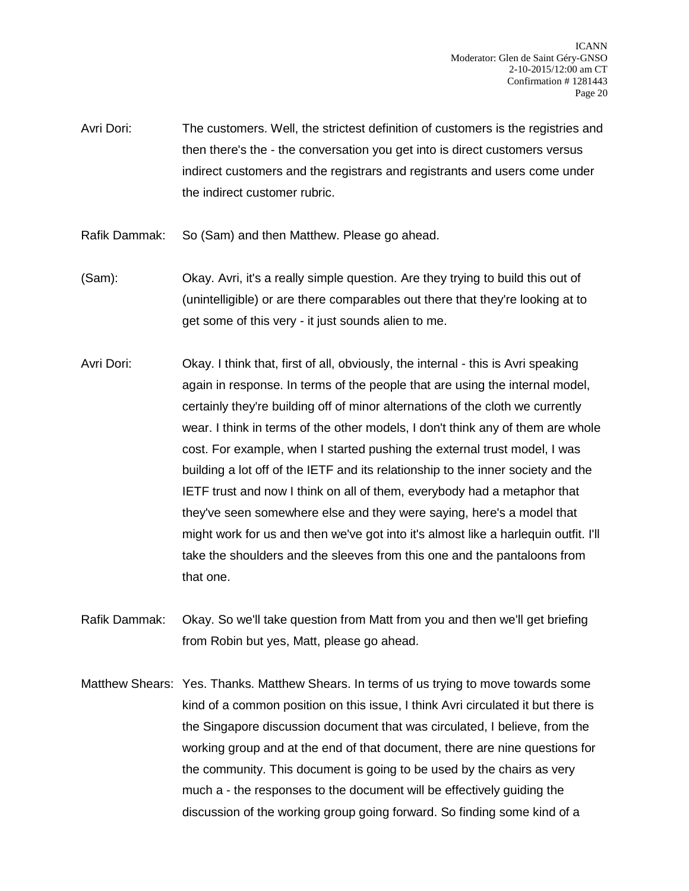- Avri Dori: The customers. Well, the strictest definition of customers is the registries and then there's the - the conversation you get into is direct customers versus indirect customers and the registrars and registrants and users come under the indirect customer rubric.
- Rafik Dammak: So (Sam) and then Matthew. Please go ahead.
- (Sam): Okay. Avri, it's a really simple question. Are they trying to build this out of (unintelligible) or are there comparables out there that they're looking at to get some of this very - it just sounds alien to me.
- Avri Dori: Okay. I think that, first of all, obviously, the internal this is Avri speaking again in response. In terms of the people that are using the internal model, certainly they're building off of minor alternations of the cloth we currently wear. I think in terms of the other models, I don't think any of them are whole cost. For example, when I started pushing the external trust model, I was building a lot off of the IETF and its relationship to the inner society and the IETF trust and now I think on all of them, everybody had a metaphor that they've seen somewhere else and they were saying, here's a model that might work for us and then we've got into it's almost like a harlequin outfit. I'll take the shoulders and the sleeves from this one and the pantaloons from that one.
- Rafik Dammak: Okay. So we'll take question from Matt from you and then we'll get briefing from Robin but yes, Matt, please go ahead.
- Matthew Shears: Yes. Thanks. Matthew Shears. In terms of us trying to move towards some kind of a common position on this issue, I think Avri circulated it but there is the Singapore discussion document that was circulated, I believe, from the working group and at the end of that document, there are nine questions for the community. This document is going to be used by the chairs as very much a - the responses to the document will be effectively guiding the discussion of the working group going forward. So finding some kind of a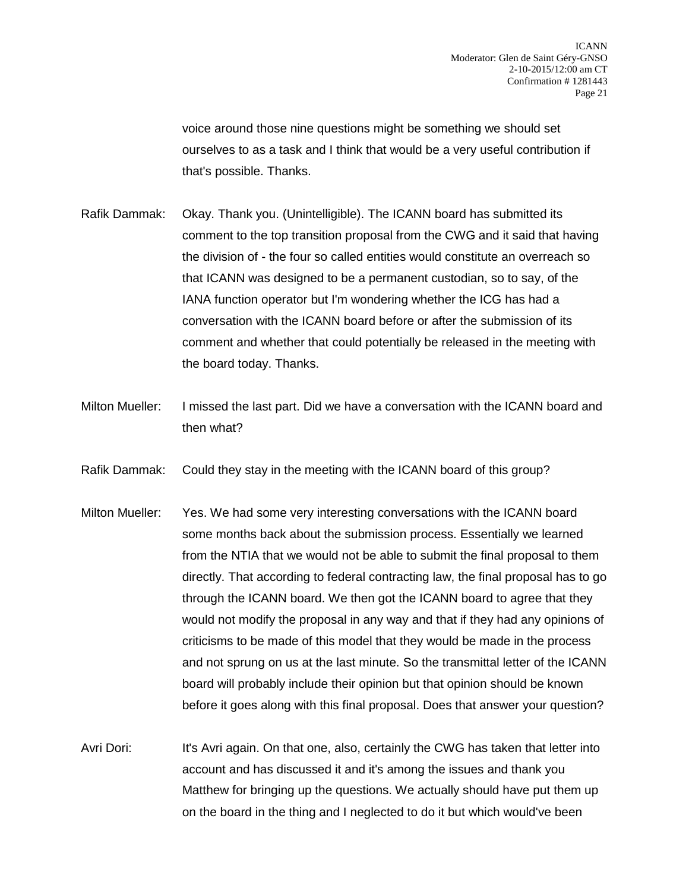voice around those nine questions might be something we should set ourselves to as a task and I think that would be a very useful contribution if that's possible. Thanks.

- Rafik Dammak: Okay. Thank you. (Unintelligible). The ICANN board has submitted its comment to the top transition proposal from the CWG and it said that having the division of - the four so called entities would constitute an overreach so that ICANN was designed to be a permanent custodian, so to say, of the IANA function operator but I'm wondering whether the ICG has had a conversation with the ICANN board before or after the submission of its comment and whether that could potentially be released in the meeting with the board today. Thanks.
- Milton Mueller: I missed the last part. Did we have a conversation with the ICANN board and then what?
- Rafik Dammak: Could they stay in the meeting with the ICANN board of this group?
- Milton Mueller: Yes. We had some very interesting conversations with the ICANN board some months back about the submission process. Essentially we learned from the NTIA that we would not be able to submit the final proposal to them directly. That according to federal contracting law, the final proposal has to go through the ICANN board. We then got the ICANN board to agree that they would not modify the proposal in any way and that if they had any opinions of criticisms to be made of this model that they would be made in the process and not sprung on us at the last minute. So the transmittal letter of the ICANN board will probably include their opinion but that opinion should be known before it goes along with this final proposal. Does that answer your question?
- Avri Dori: It's Avri again. On that one, also, certainly the CWG has taken that letter into account and has discussed it and it's among the issues and thank you Matthew for bringing up the questions. We actually should have put them up on the board in the thing and I neglected to do it but which would've been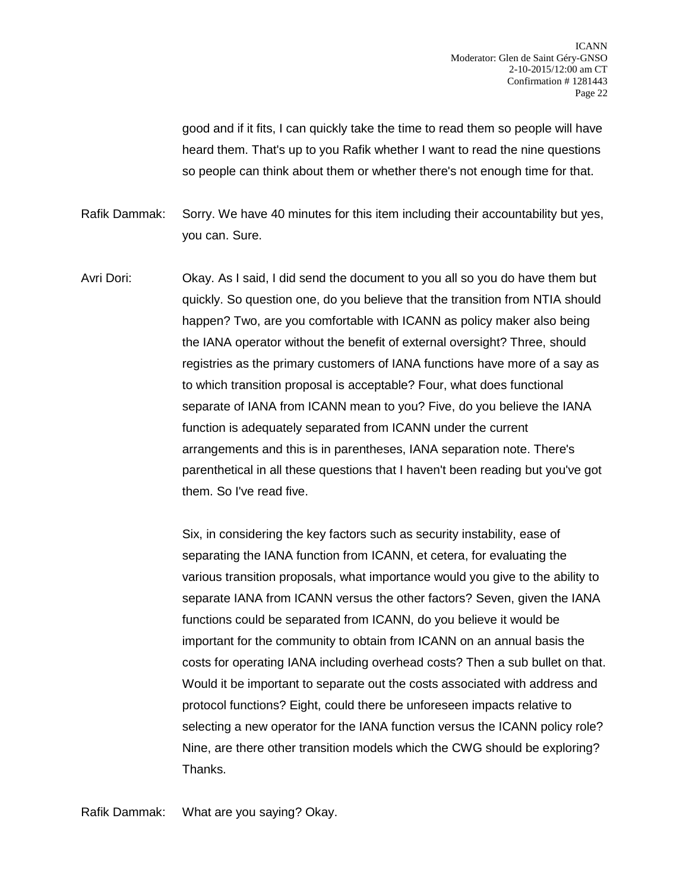good and if it fits, I can quickly take the time to read them so people will have heard them. That's up to you Rafik whether I want to read the nine questions so people can think about them or whether there's not enough time for that.

Rafik Dammak: Sorry. We have 40 minutes for this item including their accountability but yes, you can. Sure.

Avri Dori: Okay. As I said, I did send the document to you all so you do have them but quickly. So question one, do you believe that the transition from NTIA should happen? Two, are you comfortable with ICANN as policy maker also being the IANA operator without the benefit of external oversight? Three, should registries as the primary customers of IANA functions have more of a say as to which transition proposal is acceptable? Four, what does functional separate of IANA from ICANN mean to you? Five, do you believe the IANA function is adequately separated from ICANN under the current arrangements and this is in parentheses, IANA separation note. There's parenthetical in all these questions that I haven't been reading but you've got them. So I've read five.

> Six, in considering the key factors such as security instability, ease of separating the IANA function from ICANN, et cetera, for evaluating the various transition proposals, what importance would you give to the ability to separate IANA from ICANN versus the other factors? Seven, given the IANA functions could be separated from ICANN, do you believe it would be important for the community to obtain from ICANN on an annual basis the costs for operating IANA including overhead costs? Then a sub bullet on that. Would it be important to separate out the costs associated with address and protocol functions? Eight, could there be unforeseen impacts relative to selecting a new operator for the IANA function versus the ICANN policy role? Nine, are there other transition models which the CWG should be exploring? Thanks.

Rafik Dammak: What are you saying? Okay.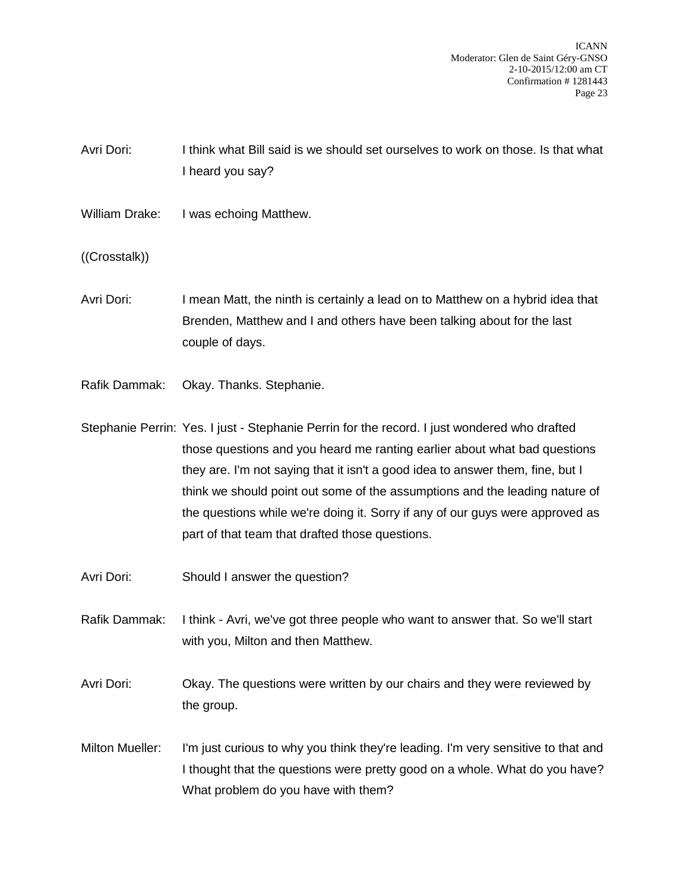Avri Dori: I think what Bill said is we should set ourselves to work on those. Is that what I heard you say?

William Drake: I was echoing Matthew.

((Crosstalk))

Avri Dori: I mean Matt, the ninth is certainly a lead on to Matthew on a hybrid idea that Brenden, Matthew and I and others have been talking about for the last couple of days.

Rafik Dammak: Okay. Thanks. Stephanie.

Stephanie Perrin: Yes. I just - Stephanie Perrin for the record. I just wondered who drafted those questions and you heard me ranting earlier about what bad questions they are. I'm not saying that it isn't a good idea to answer them, fine, but I think we should point out some of the assumptions and the leading nature of the questions while we're doing it. Sorry if any of our guys were approved as part of that team that drafted those questions.

Avri Dori: Should I answer the question?

Rafik Dammak: I think - Avri, we've got three people who want to answer that. So we'll start with you, Milton and then Matthew.

Avri Dori: Okay. The questions were written by our chairs and they were reviewed by the group.

Milton Mueller: I'm just curious to why you think they're leading. I'm very sensitive to that and I thought that the questions were pretty good on a whole. What do you have? What problem do you have with them?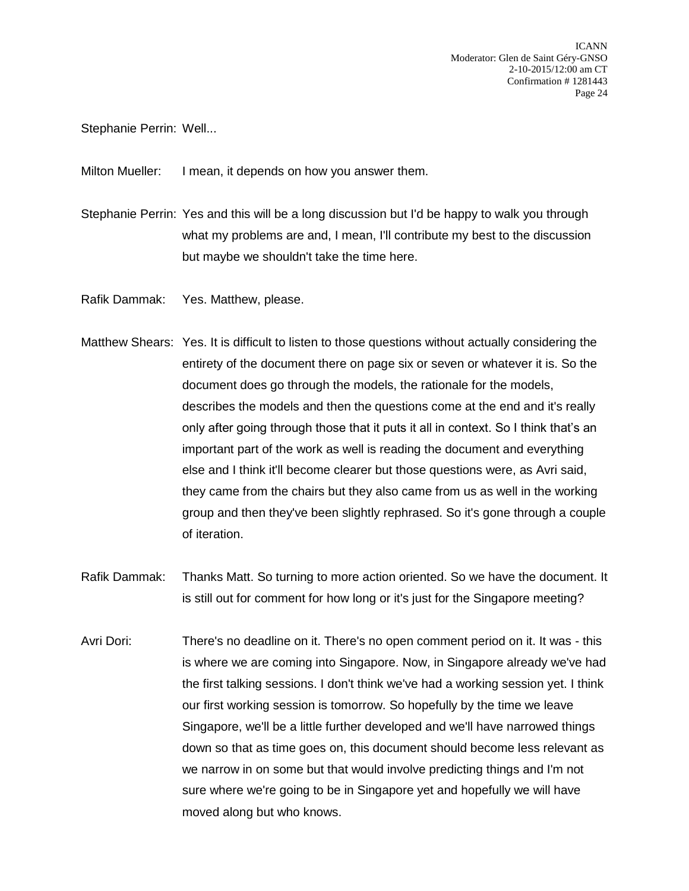Stephanie Perrin: Well...

Milton Mueller: I mean, it depends on how you answer them.

- Stephanie Perrin: Yes and this will be a long discussion but I'd be happy to walk you through what my problems are and, I mean, I'll contribute my best to the discussion but maybe we shouldn't take the time here.
- Rafik Dammak: Yes. Matthew, please.
- Matthew Shears: Yes. It is difficult to listen to those questions without actually considering the entirety of the document there on page six or seven or whatever it is. So the document does go through the models, the rationale for the models, describes the models and then the questions come at the end and it's really only after going through those that it puts it all in context. So I think that's an important part of the work as well is reading the document and everything else and I think it'll become clearer but those questions were, as Avri said, they came from the chairs but they also came from us as well in the working group and then they've been slightly rephrased. So it's gone through a couple of iteration.
- Rafik Dammak: Thanks Matt. So turning to more action oriented. So we have the document. It is still out for comment for how long or it's just for the Singapore meeting?
- Avri Dori: There's no deadline on it. There's no open comment period on it. It was this is where we are coming into Singapore. Now, in Singapore already we've had the first talking sessions. I don't think we've had a working session yet. I think our first working session is tomorrow. So hopefully by the time we leave Singapore, we'll be a little further developed and we'll have narrowed things down so that as time goes on, this document should become less relevant as we narrow in on some but that would involve predicting things and I'm not sure where we're going to be in Singapore yet and hopefully we will have moved along but who knows.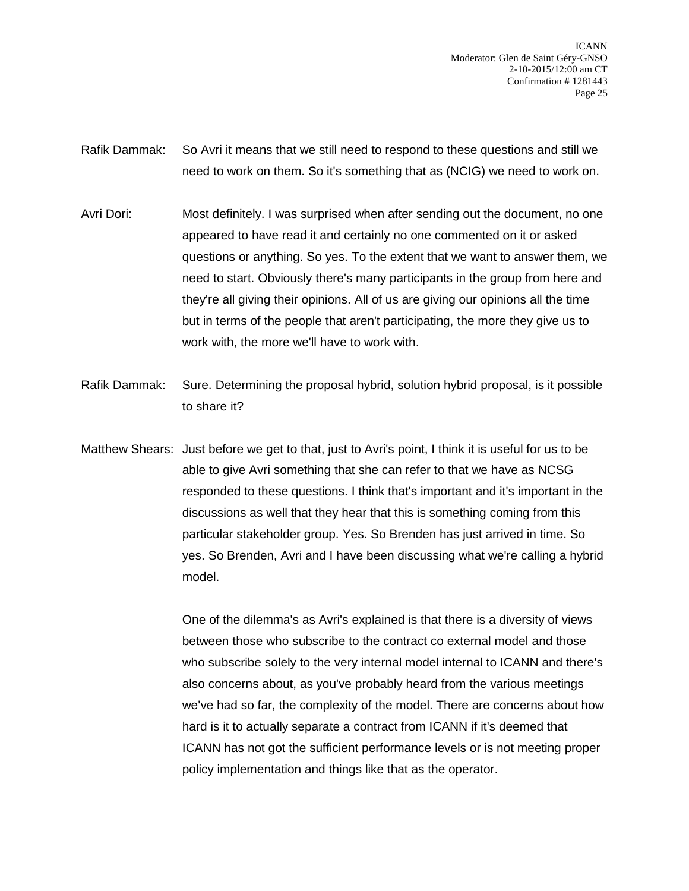Rafik Dammak: So Avri it means that we still need to respond to these questions and still we need to work on them. So it's something that as (NCIG) we need to work on.

- Avri Dori: Most definitely. I was surprised when after sending out the document, no one appeared to have read it and certainly no one commented on it or asked questions or anything. So yes. To the extent that we want to answer them, we need to start. Obviously there's many participants in the group from here and they're all giving their opinions. All of us are giving our opinions all the time but in terms of the people that aren't participating, the more they give us to work with, the more we'll have to work with.
- Rafik Dammak: Sure. Determining the proposal hybrid, solution hybrid proposal, is it possible to share it?
- Matthew Shears: Just before we get to that, just to Avri's point, I think it is useful for us to be able to give Avri something that she can refer to that we have as NCSG responded to these questions. I think that's important and it's important in the discussions as well that they hear that this is something coming from this particular stakeholder group. Yes. So Brenden has just arrived in time. So yes. So Brenden, Avri and I have been discussing what we're calling a hybrid model.

One of the dilemma's as Avri's explained is that there is a diversity of views between those who subscribe to the contract co external model and those who subscribe solely to the very internal model internal to ICANN and there's also concerns about, as you've probably heard from the various meetings we've had so far, the complexity of the model. There are concerns about how hard is it to actually separate a contract from ICANN if it's deemed that ICANN has not got the sufficient performance levels or is not meeting proper policy implementation and things like that as the operator.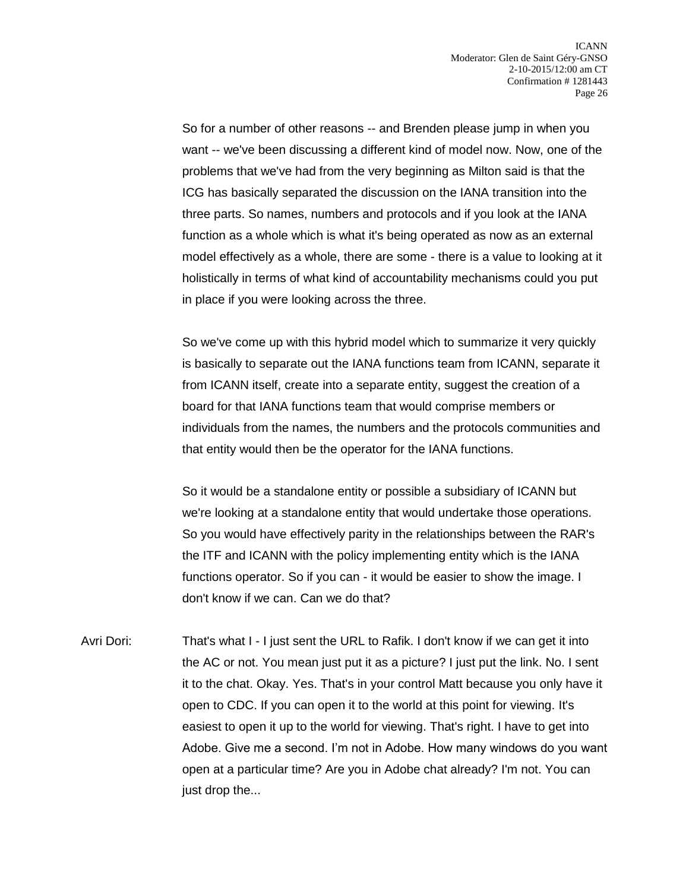So for a number of other reasons -- and Brenden please jump in when you want -- we've been discussing a different kind of model now. Now, one of the problems that we've had from the very beginning as Milton said is that the ICG has basically separated the discussion on the IANA transition into the three parts. So names, numbers and protocols and if you look at the IANA function as a whole which is what it's being operated as now as an external model effectively as a whole, there are some - there is a value to looking at it holistically in terms of what kind of accountability mechanisms could you put in place if you were looking across the three.

So we've come up with this hybrid model which to summarize it very quickly is basically to separate out the IANA functions team from ICANN, separate it from ICANN itself, create into a separate entity, suggest the creation of a board for that IANA functions team that would comprise members or individuals from the names, the numbers and the protocols communities and that entity would then be the operator for the IANA functions.

So it would be a standalone entity or possible a subsidiary of ICANN but we're looking at a standalone entity that would undertake those operations. So you would have effectively parity in the relationships between the RAR's the ITF and ICANN with the policy implementing entity which is the IANA functions operator. So if you can - it would be easier to show the image. I don't know if we can. Can we do that?

Avri Dori: That's what I - I just sent the URL to Rafik. I don't know if we can get it into the AC or not. You mean just put it as a picture? I just put the link. No. I sent it to the chat. Okay. Yes. That's in your control Matt because you only have it open to CDC. If you can open it to the world at this point for viewing. It's easiest to open it up to the world for viewing. That's right. I have to get into Adobe. Give me a second. I'm not in Adobe. How many windows do you want open at a particular time? Are you in Adobe chat already? I'm not. You can just drop the...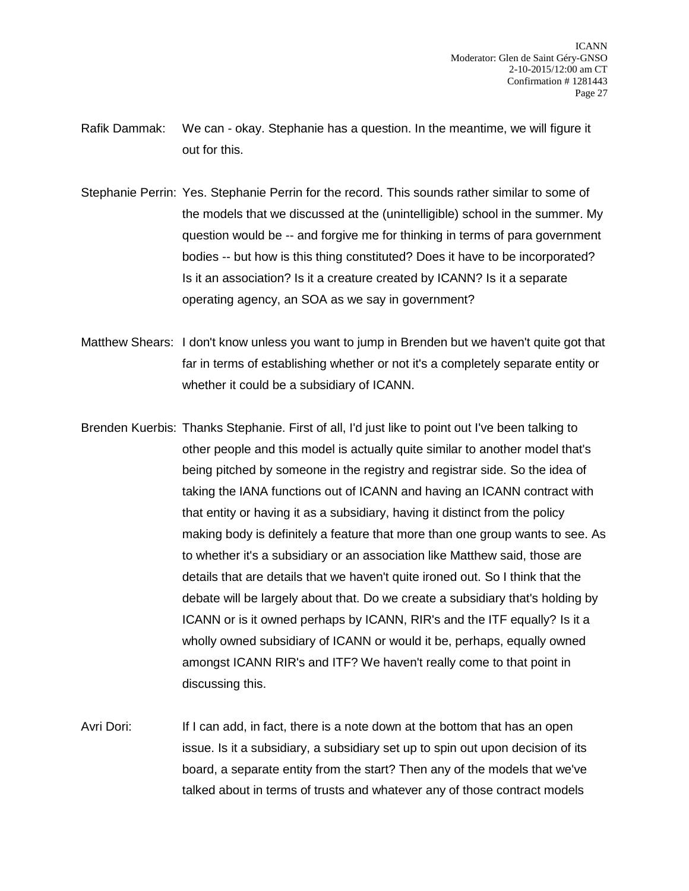- Rafik Dammak: We can okay. Stephanie has a question. In the meantime, we will figure it out for this.
- Stephanie Perrin: Yes. Stephanie Perrin for the record. This sounds rather similar to some of the models that we discussed at the (unintelligible) school in the summer. My question would be -- and forgive me for thinking in terms of para government bodies -- but how is this thing constituted? Does it have to be incorporated? Is it an association? Is it a creature created by ICANN? Is it a separate operating agency, an SOA as we say in government?
- Matthew Shears: I don't know unless you want to jump in Brenden but we haven't quite got that far in terms of establishing whether or not it's a completely separate entity or whether it could be a subsidiary of ICANN.
- Brenden Kuerbis: Thanks Stephanie. First of all, I'd just like to point out I've been talking to other people and this model is actually quite similar to another model that's being pitched by someone in the registry and registrar side. So the idea of taking the IANA functions out of ICANN and having an ICANN contract with that entity or having it as a subsidiary, having it distinct from the policy making body is definitely a feature that more than one group wants to see. As to whether it's a subsidiary or an association like Matthew said, those are details that are details that we haven't quite ironed out. So I think that the debate will be largely about that. Do we create a subsidiary that's holding by ICANN or is it owned perhaps by ICANN, RIR's and the ITF equally? Is it a wholly owned subsidiary of ICANN or would it be, perhaps, equally owned amongst ICANN RIR's and ITF? We haven't really come to that point in discussing this.
- Avri Dori: If I can add, in fact, there is a note down at the bottom that has an open issue. Is it a subsidiary, a subsidiary set up to spin out upon decision of its board, a separate entity from the start? Then any of the models that we've talked about in terms of trusts and whatever any of those contract models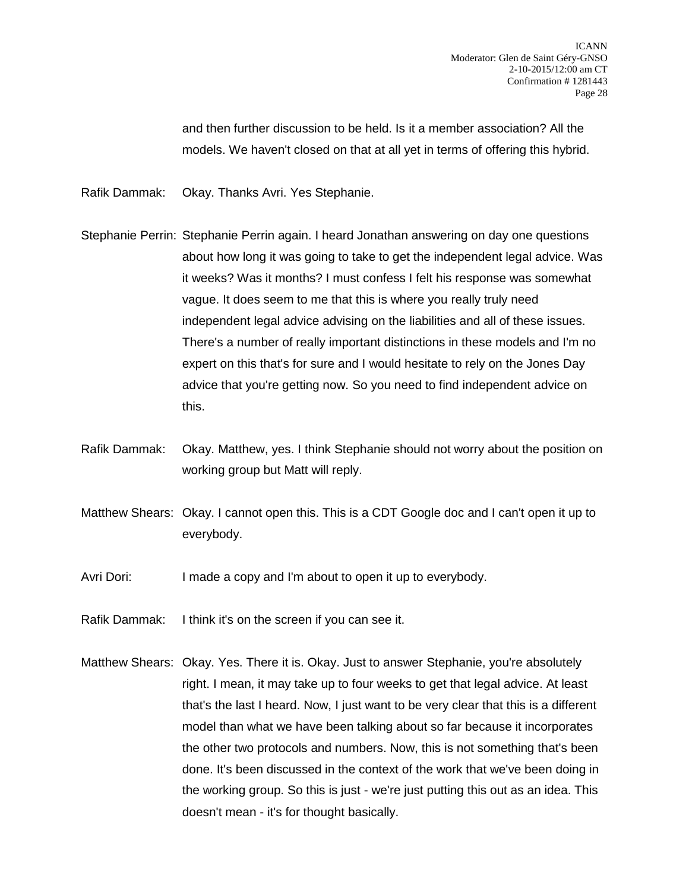and then further discussion to be held. Is it a member association? All the models. We haven't closed on that at all yet in terms of offering this hybrid.

Rafik Dammak: Okay. Thanks Avri. Yes Stephanie.

- Stephanie Perrin: Stephanie Perrin again. I heard Jonathan answering on day one questions about how long it was going to take to get the independent legal advice. Was it weeks? Was it months? I must confess I felt his response was somewhat vague. It does seem to me that this is where you really truly need independent legal advice advising on the liabilities and all of these issues. There's a number of really important distinctions in these models and I'm no expert on this that's for sure and I would hesitate to rely on the Jones Day advice that you're getting now. So you need to find independent advice on this.
- Rafik Dammak: Okay. Matthew, yes. I think Stephanie should not worry about the position on working group but Matt will reply.
- Matthew Shears: Okay. I cannot open this. This is a CDT Google doc and I can't open it up to everybody.
- Avri Dori: I made a copy and I'm about to open it up to everybody.
- Rafik Dammak: I think it's on the screen if you can see it.
- Matthew Shears: Okay. Yes. There it is. Okay. Just to answer Stephanie, you're absolutely right. I mean, it may take up to four weeks to get that legal advice. At least that's the last I heard. Now, I just want to be very clear that this is a different model than what we have been talking about so far because it incorporates the other two protocols and numbers. Now, this is not something that's been done. It's been discussed in the context of the work that we've been doing in the working group. So this is just - we're just putting this out as an idea. This doesn't mean - it's for thought basically.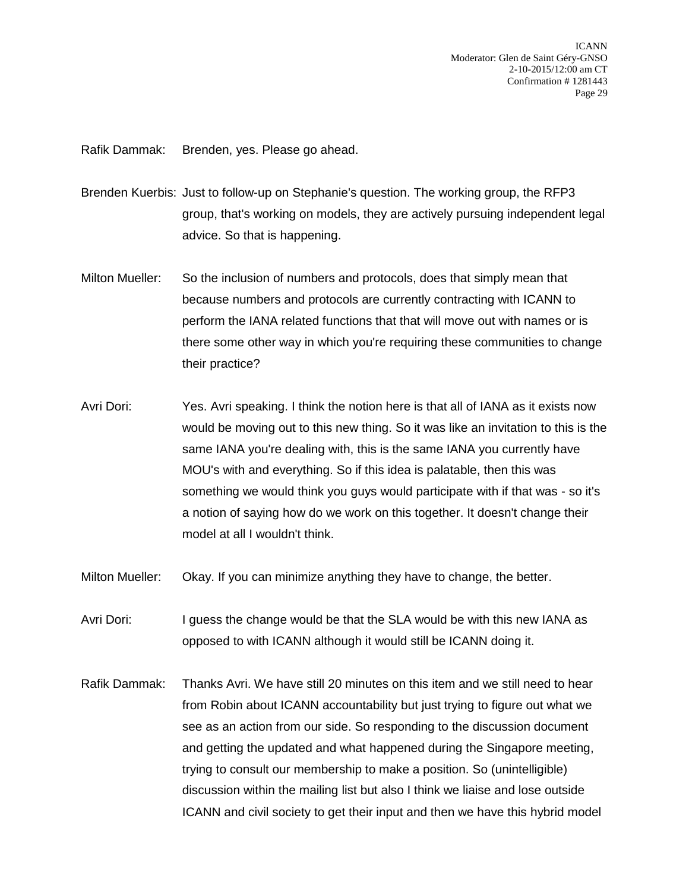Rafik Dammak: Brenden, yes. Please go ahead.

- Brenden Kuerbis: Just to follow-up on Stephanie's question. The working group, the RFP3 group, that's working on models, they are actively pursuing independent legal advice. So that is happening.
- Milton Mueller: So the inclusion of numbers and protocols, does that simply mean that because numbers and protocols are currently contracting with ICANN to perform the IANA related functions that that will move out with names or is there some other way in which you're requiring these communities to change their practice?
- Avri Dori: Yes. Avri speaking. I think the notion here is that all of IANA as it exists now would be moving out to this new thing. So it was like an invitation to this is the same IANA you're dealing with, this is the same IANA you currently have MOU's with and everything. So if this idea is palatable, then this was something we would think you guys would participate with if that was - so it's a notion of saying how do we work on this together. It doesn't change their model at all I wouldn't think.
- Milton Mueller: Okay. If you can minimize anything they have to change, the better.
- Avri Dori: I guess the change would be that the SLA would be with this new IANA as opposed to with ICANN although it would still be ICANN doing it.
- Rafik Dammak: Thanks Avri. We have still 20 minutes on this item and we still need to hear from Robin about ICANN accountability but just trying to figure out what we see as an action from our side. So responding to the discussion document and getting the updated and what happened during the Singapore meeting, trying to consult our membership to make a position. So (unintelligible) discussion within the mailing list but also I think we liaise and lose outside ICANN and civil society to get their input and then we have this hybrid model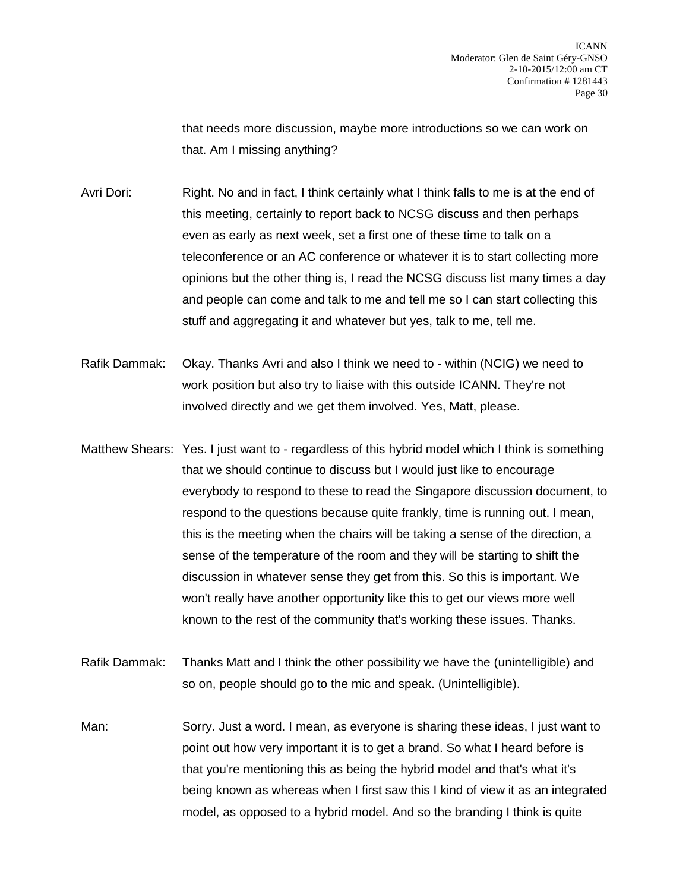that needs more discussion, maybe more introductions so we can work on that. Am I missing anything?

Avri Dori: Right. No and in fact, I think certainly what I think falls to me is at the end of this meeting, certainly to report back to NCSG discuss and then perhaps even as early as next week, set a first one of these time to talk on a teleconference or an AC conference or whatever it is to start collecting more opinions but the other thing is, I read the NCSG discuss list many times a day and people can come and talk to me and tell me so I can start collecting this stuff and aggregating it and whatever but yes, talk to me, tell me.

Rafik Dammak: Okay. Thanks Avri and also I think we need to - within (NCIG) we need to work position but also try to liaise with this outside ICANN. They're not involved directly and we get them involved. Yes, Matt, please.

- Matthew Shears: Yes. I just want to regardless of this hybrid model which I think is something that we should continue to discuss but I would just like to encourage everybody to respond to these to read the Singapore discussion document, to respond to the questions because quite frankly, time is running out. I mean, this is the meeting when the chairs will be taking a sense of the direction, a sense of the temperature of the room and they will be starting to shift the discussion in whatever sense they get from this. So this is important. We won't really have another opportunity like this to get our views more well known to the rest of the community that's working these issues. Thanks.
- Rafik Dammak: Thanks Matt and I think the other possibility we have the (unintelligible) and so on, people should go to the mic and speak. (Unintelligible).
- Man: Sorry. Just a word. I mean, as everyone is sharing these ideas, I just want to point out how very important it is to get a brand. So what I heard before is that you're mentioning this as being the hybrid model and that's what it's being known as whereas when I first saw this I kind of view it as an integrated model, as opposed to a hybrid model. And so the branding I think is quite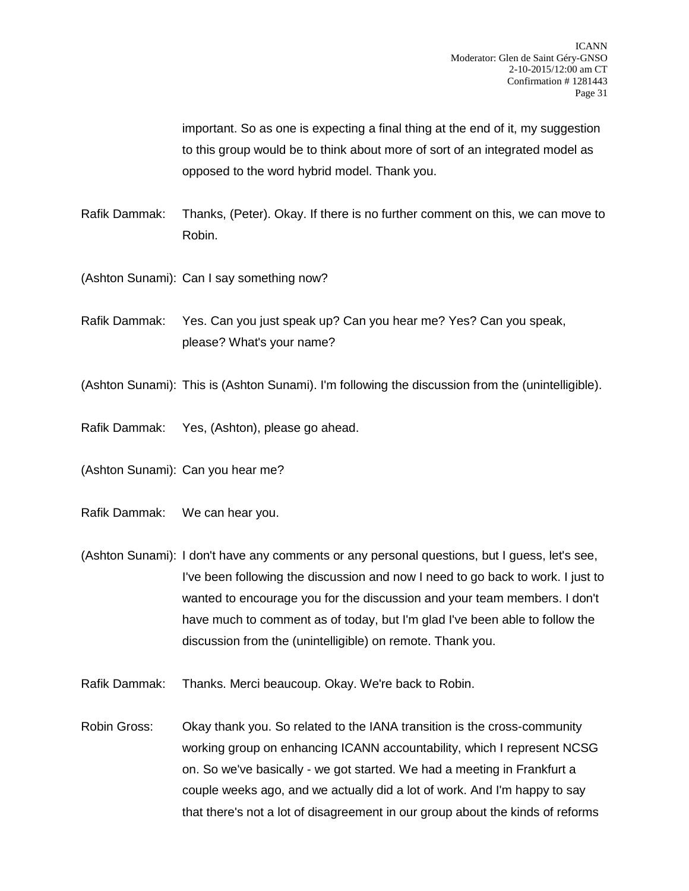important. So as one is expecting a final thing at the end of it, my suggestion to this group would be to think about more of sort of an integrated model as opposed to the word hybrid model. Thank you.

- Rafik Dammak: Thanks, (Peter). Okay. If there is no further comment on this, we can move to Robin.
- (Ashton Sunami): Can I say something now?
- Rafik Dammak: Yes. Can you just speak up? Can you hear me? Yes? Can you speak, please? What's your name?
- (Ashton Sunami): This is (Ashton Sunami). I'm following the discussion from the (unintelligible).
- Rafik Dammak: Yes, (Ashton), please go ahead.
- (Ashton Sunami): Can you hear me?
- Rafik Dammak: We can hear you.
- (Ashton Sunami): I don't have any comments or any personal questions, but I guess, let's see, I've been following the discussion and now I need to go back to work. I just to wanted to encourage you for the discussion and your team members. I don't have much to comment as of today, but I'm glad I've been able to follow the discussion from the (unintelligible) on remote. Thank you.
- Rafik Dammak: Thanks. Merci beaucoup. Okay. We're back to Robin.
- Robin Gross: Okay thank you. So related to the IANA transition is the cross-community working group on enhancing ICANN accountability, which I represent NCSG on. So we've basically - we got started. We had a meeting in Frankfurt a couple weeks ago, and we actually did a lot of work. And I'm happy to say that there's not a lot of disagreement in our group about the kinds of reforms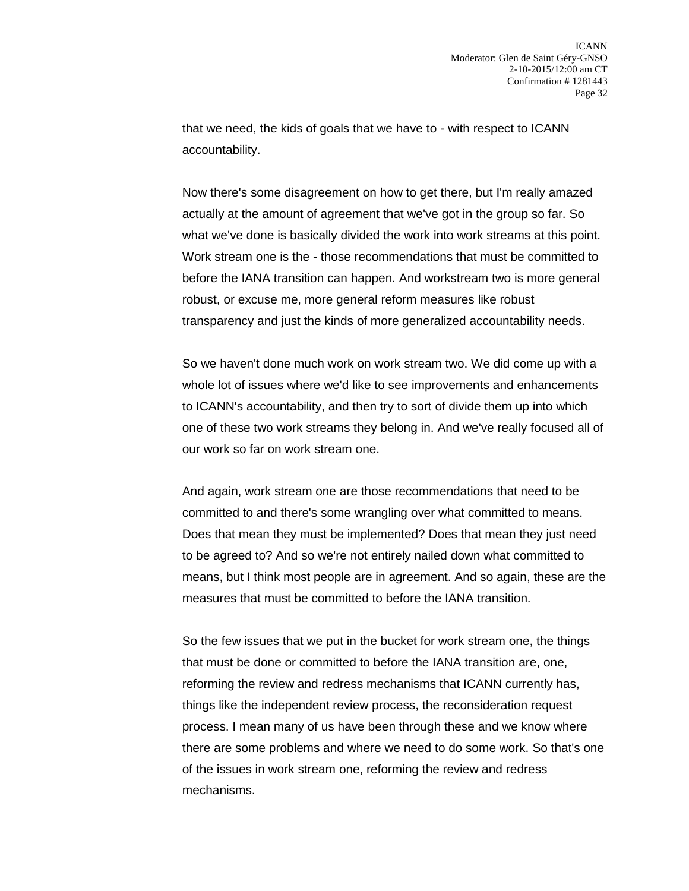that we need, the kids of goals that we have to - with respect to ICANN accountability.

Now there's some disagreement on how to get there, but I'm really amazed actually at the amount of agreement that we've got in the group so far. So what we've done is basically divided the work into work streams at this point. Work stream one is the - those recommendations that must be committed to before the IANA transition can happen. And workstream two is more general robust, or excuse me, more general reform measures like robust transparency and just the kinds of more generalized accountability needs.

So we haven't done much work on work stream two. We did come up with a whole lot of issues where we'd like to see improvements and enhancements to ICANN's accountability, and then try to sort of divide them up into which one of these two work streams they belong in. And we've really focused all of our work so far on work stream one.

And again, work stream one are those recommendations that need to be committed to and there's some wrangling over what committed to means. Does that mean they must be implemented? Does that mean they just need to be agreed to? And so we're not entirely nailed down what committed to means, but I think most people are in agreement. And so again, these are the measures that must be committed to before the IANA transition.

So the few issues that we put in the bucket for work stream one, the things that must be done or committed to before the IANA transition are, one, reforming the review and redress mechanisms that ICANN currently has, things like the independent review process, the reconsideration request process. I mean many of us have been through these and we know where there are some problems and where we need to do some work. So that's one of the issues in work stream one, reforming the review and redress mechanisms.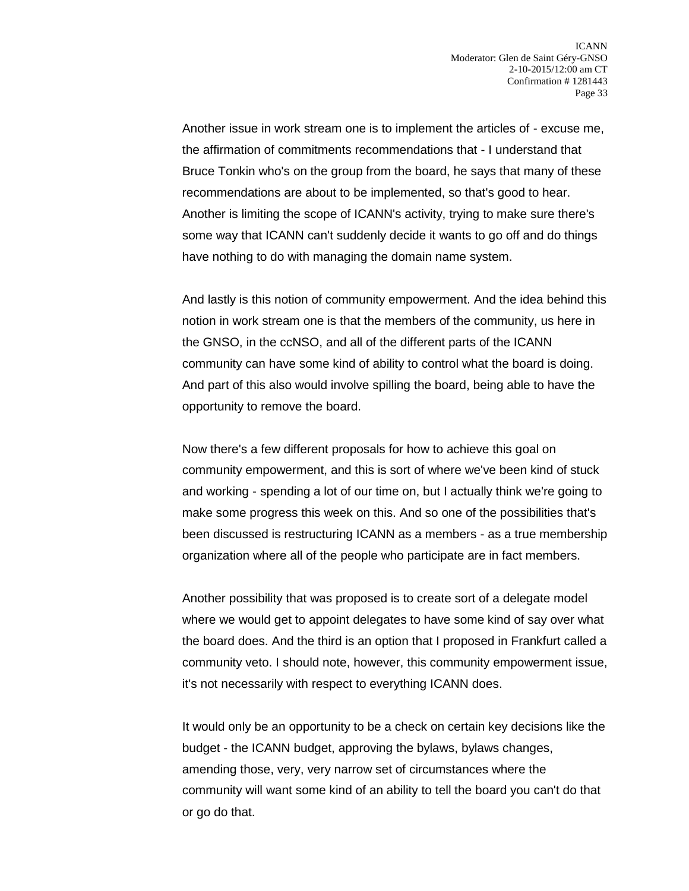Another issue in work stream one is to implement the articles of - excuse me, the affirmation of commitments recommendations that - I understand that Bruce Tonkin who's on the group from the board, he says that many of these recommendations are about to be implemented, so that's good to hear. Another is limiting the scope of ICANN's activity, trying to make sure there's some way that ICANN can't suddenly decide it wants to go off and do things have nothing to do with managing the domain name system.

And lastly is this notion of community empowerment. And the idea behind this notion in work stream one is that the members of the community, us here in the GNSO, in the ccNSO, and all of the different parts of the ICANN community can have some kind of ability to control what the board is doing. And part of this also would involve spilling the board, being able to have the opportunity to remove the board.

Now there's a few different proposals for how to achieve this goal on community empowerment, and this is sort of where we've been kind of stuck and working - spending a lot of our time on, but I actually think we're going to make some progress this week on this. And so one of the possibilities that's been discussed is restructuring ICANN as a members - as a true membership organization where all of the people who participate are in fact members.

Another possibility that was proposed is to create sort of a delegate model where we would get to appoint delegates to have some kind of say over what the board does. And the third is an option that I proposed in Frankfurt called a community veto. I should note, however, this community empowerment issue, it's not necessarily with respect to everything ICANN does.

It would only be an opportunity to be a check on certain key decisions like the budget - the ICANN budget, approving the bylaws, bylaws changes, amending those, very, very narrow set of circumstances where the community will want some kind of an ability to tell the board you can't do that or go do that.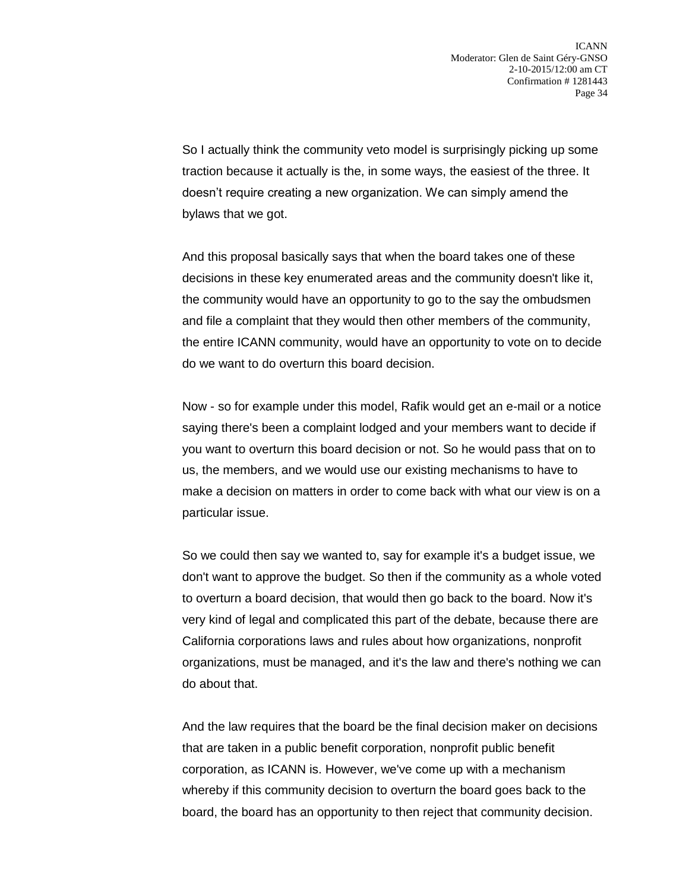So I actually think the community veto model is surprisingly picking up some traction because it actually is the, in some ways, the easiest of the three. It doesn't require creating a new organization. We can simply amend the bylaws that we got.

And this proposal basically says that when the board takes one of these decisions in these key enumerated areas and the community doesn't like it, the community would have an opportunity to go to the say the ombudsmen and file a complaint that they would then other members of the community, the entire ICANN community, would have an opportunity to vote on to decide do we want to do overturn this board decision.

Now - so for example under this model, Rafik would get an e-mail or a notice saying there's been a complaint lodged and your members want to decide if you want to overturn this board decision or not. So he would pass that on to us, the members, and we would use our existing mechanisms to have to make a decision on matters in order to come back with what our view is on a particular issue.

So we could then say we wanted to, say for example it's a budget issue, we don't want to approve the budget. So then if the community as a whole voted to overturn a board decision, that would then go back to the board. Now it's very kind of legal and complicated this part of the debate, because there are California corporations laws and rules about how organizations, nonprofit organizations, must be managed, and it's the law and there's nothing we can do about that.

And the law requires that the board be the final decision maker on decisions that are taken in a public benefit corporation, nonprofit public benefit corporation, as ICANN is. However, we've come up with a mechanism whereby if this community decision to overturn the board goes back to the board, the board has an opportunity to then reject that community decision.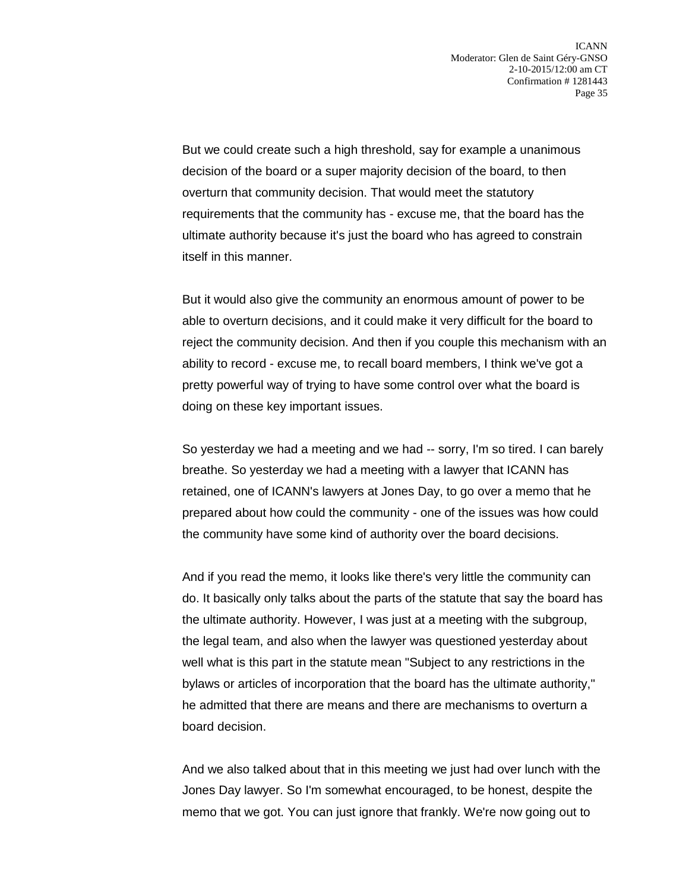But we could create such a high threshold, say for example a unanimous decision of the board or a super majority decision of the board, to then overturn that community decision. That would meet the statutory requirements that the community has - excuse me, that the board has the ultimate authority because it's just the board who has agreed to constrain itself in this manner.

But it would also give the community an enormous amount of power to be able to overturn decisions, and it could make it very difficult for the board to reject the community decision. And then if you couple this mechanism with an ability to record - excuse me, to recall board members, I think we've got a pretty powerful way of trying to have some control over what the board is doing on these key important issues.

So yesterday we had a meeting and we had -- sorry, I'm so tired. I can barely breathe. So yesterday we had a meeting with a lawyer that ICANN has retained, one of ICANN's lawyers at Jones Day, to go over a memo that he prepared about how could the community - one of the issues was how could the community have some kind of authority over the board decisions.

And if you read the memo, it looks like there's very little the community can do. It basically only talks about the parts of the statute that say the board has the ultimate authority. However, I was just at a meeting with the subgroup, the legal team, and also when the lawyer was questioned yesterday about well what is this part in the statute mean "Subject to any restrictions in the bylaws or articles of incorporation that the board has the ultimate authority," he admitted that there are means and there are mechanisms to overturn a board decision.

And we also talked about that in this meeting we just had over lunch with the Jones Day lawyer. So I'm somewhat encouraged, to be honest, despite the memo that we got. You can just ignore that frankly. We're now going out to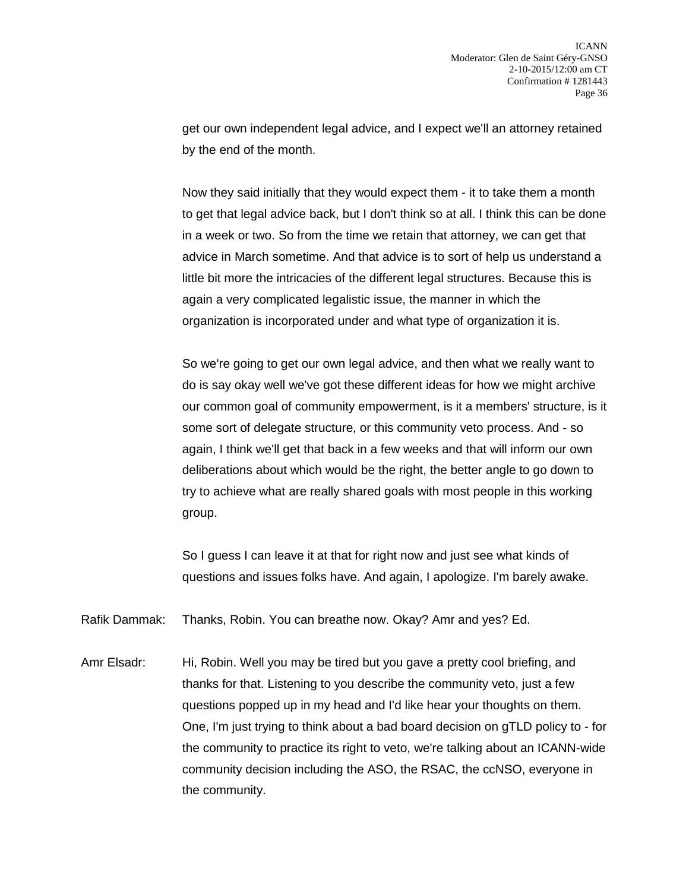get our own independent legal advice, and I expect we'll an attorney retained by the end of the month.

Now they said initially that they would expect them - it to take them a month to get that legal advice back, but I don't think so at all. I think this can be done in a week or two. So from the time we retain that attorney, we can get that advice in March sometime. And that advice is to sort of help us understand a little bit more the intricacies of the different legal structures. Because this is again a very complicated legalistic issue, the manner in which the organization is incorporated under and what type of organization it is.

So we're going to get our own legal advice, and then what we really want to do is say okay well we've got these different ideas for how we might archive our common goal of community empowerment, is it a members' structure, is it some sort of delegate structure, or this community veto process. And - so again, I think we'll get that back in a few weeks and that will inform our own deliberations about which would be the right, the better angle to go down to try to achieve what are really shared goals with most people in this working group.

So I guess I can leave it at that for right now and just see what kinds of questions and issues folks have. And again, I apologize. I'm barely awake.

Rafik Dammak: Thanks, Robin. You can breathe now. Okay? Amr and yes? Ed.

Amr Elsadr: Hi, Robin. Well you may be tired but you gave a pretty cool briefing, and thanks for that. Listening to you describe the community veto, just a few questions popped up in my head and I'd like hear your thoughts on them. One, I'm just trying to think about a bad board decision on gTLD policy to - for the community to practice its right to veto, we're talking about an ICANN-wide community decision including the ASO, the RSAC, the ccNSO, everyone in the community.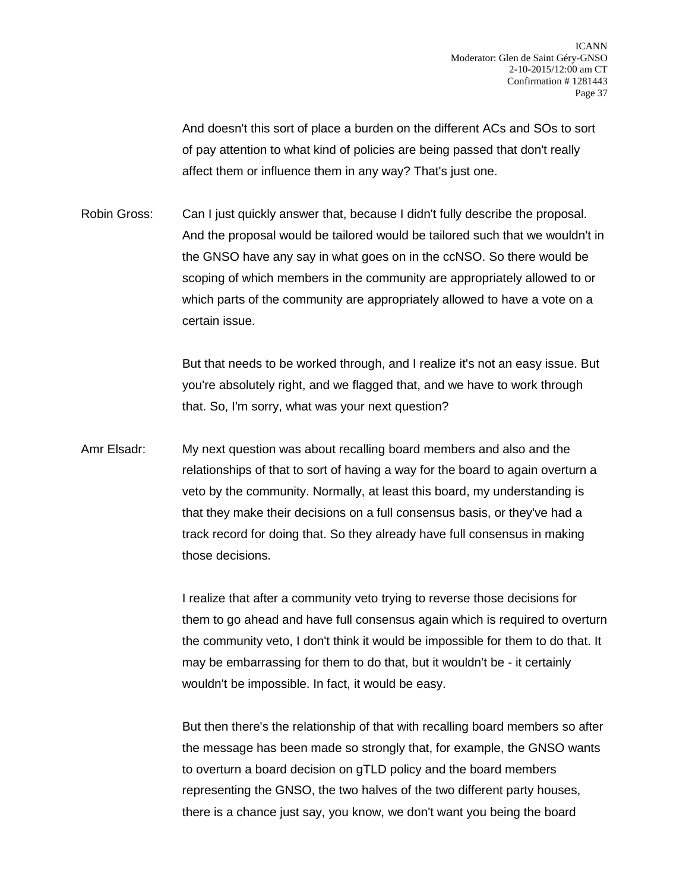And doesn't this sort of place a burden on the different ACs and SOs to sort of pay attention to what kind of policies are being passed that don't really affect them or influence them in any way? That's just one.

Robin Gross: Can I just quickly answer that, because I didn't fully describe the proposal. And the proposal would be tailored would be tailored such that we wouldn't in the GNSO have any say in what goes on in the ccNSO. So there would be scoping of which members in the community are appropriately allowed to or which parts of the community are appropriately allowed to have a vote on a certain issue.

> But that needs to be worked through, and I realize it's not an easy issue. But you're absolutely right, and we flagged that, and we have to work through that. So, I'm sorry, what was your next question?

Amr Elsadr: My next question was about recalling board members and also and the relationships of that to sort of having a way for the board to again overturn a veto by the community. Normally, at least this board, my understanding is that they make their decisions on a full consensus basis, or they've had a track record for doing that. So they already have full consensus in making those decisions.

> I realize that after a community veto trying to reverse those decisions for them to go ahead and have full consensus again which is required to overturn the community veto, I don't think it would be impossible for them to do that. It may be embarrassing for them to do that, but it wouldn't be - it certainly wouldn't be impossible. In fact, it would be easy.

> But then there's the relationship of that with recalling board members so after the message has been made so strongly that, for example, the GNSO wants to overturn a board decision on gTLD policy and the board members representing the GNSO, the two halves of the two different party houses, there is a chance just say, you know, we don't want you being the board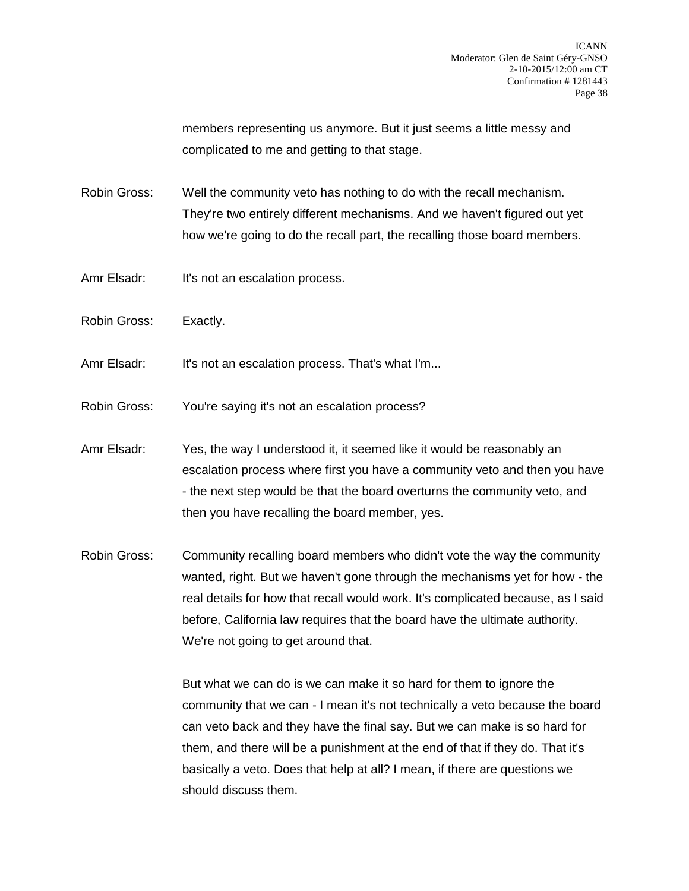members representing us anymore. But it just seems a little messy and complicated to me and getting to that stage.

Robin Gross: Well the community veto has nothing to do with the recall mechanism. They're two entirely different mechanisms. And we haven't figured out yet how we're going to do the recall part, the recalling those board members.

- Amr Elsadr: It's not an escalation process.
- Robin Gross: Exactly.
- Amr Elsadr: It's not an escalation process. That's what I'm...
- Robin Gross: You're saying it's not an escalation process?
- Amr Elsadr: Yes, the way I understood it, it seemed like it would be reasonably an escalation process where first you have a community veto and then you have - the next step would be that the board overturns the community veto, and then you have recalling the board member, yes.
- Robin Gross: Community recalling board members who didn't vote the way the community wanted, right. But we haven't gone through the mechanisms yet for how - the real details for how that recall would work. It's complicated because, as I said before, California law requires that the board have the ultimate authority. We're not going to get around that.

But what we can do is we can make it so hard for them to ignore the community that we can - I mean it's not technically a veto because the board can veto back and they have the final say. But we can make is so hard for them, and there will be a punishment at the end of that if they do. That it's basically a veto. Does that help at all? I mean, if there are questions we should discuss them.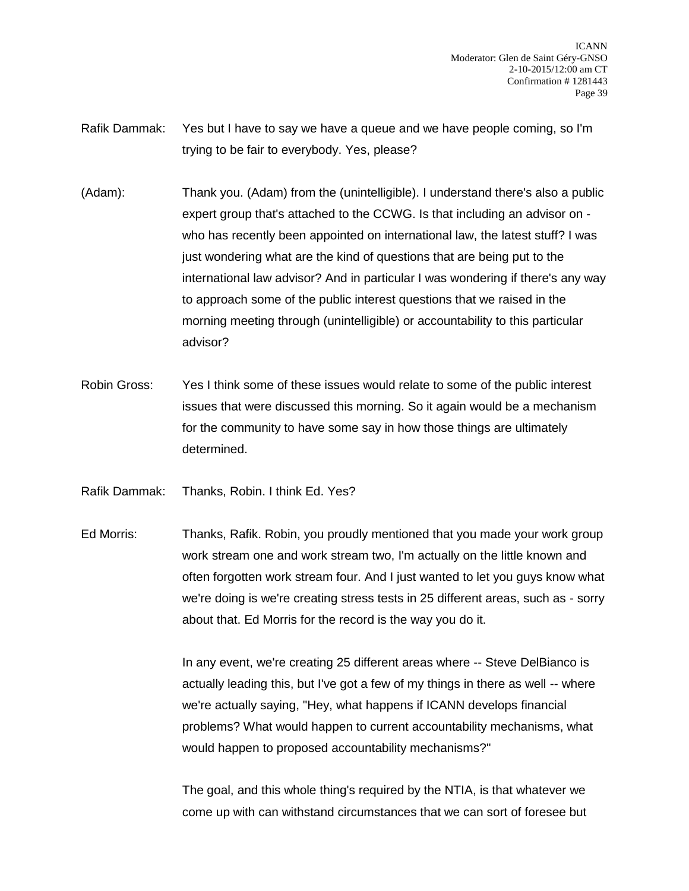- Rafik Dammak: Yes but I have to say we have a queue and we have people coming, so I'm trying to be fair to everybody. Yes, please?
- (Adam): Thank you. (Adam) from the (unintelligible). I understand there's also a public expert group that's attached to the CCWG. Is that including an advisor on who has recently been appointed on international law, the latest stuff? I was just wondering what are the kind of questions that are being put to the international law advisor? And in particular I was wondering if there's any way to approach some of the public interest questions that we raised in the morning meeting through (unintelligible) or accountability to this particular advisor?
- Robin Gross: Yes I think some of these issues would relate to some of the public interest issues that were discussed this morning. So it again would be a mechanism for the community to have some say in how those things are ultimately determined.
- Rafik Dammak: Thanks, Robin. I think Ed. Yes?
- Ed Morris: Thanks, Rafik. Robin, you proudly mentioned that you made your work group work stream one and work stream two, I'm actually on the little known and often forgotten work stream four. And I just wanted to let you guys know what we're doing is we're creating stress tests in 25 different areas, such as - sorry about that. Ed Morris for the record is the way you do it.

In any event, we're creating 25 different areas where -- Steve DelBianco is actually leading this, but I've got a few of my things in there as well -- where we're actually saying, "Hey, what happens if ICANN develops financial problems? What would happen to current accountability mechanisms, what would happen to proposed accountability mechanisms?"

The goal, and this whole thing's required by the NTIA, is that whatever we come up with can withstand circumstances that we can sort of foresee but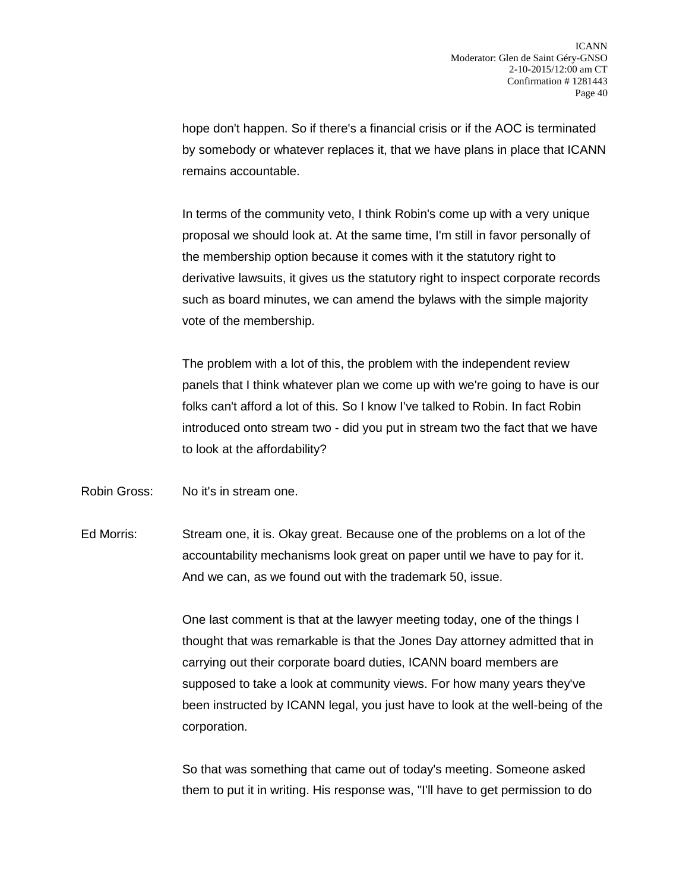hope don't happen. So if there's a financial crisis or if the AOC is terminated by somebody or whatever replaces it, that we have plans in place that ICANN remains accountable.

In terms of the community veto, I think Robin's come up with a very unique proposal we should look at. At the same time, I'm still in favor personally of the membership option because it comes with it the statutory right to derivative lawsuits, it gives us the statutory right to inspect corporate records such as board minutes, we can amend the bylaws with the simple majority vote of the membership.

The problem with a lot of this, the problem with the independent review panels that I think whatever plan we come up with we're going to have is our folks can't afford a lot of this. So I know I've talked to Robin. In fact Robin introduced onto stream two - did you put in stream two the fact that we have to look at the affordability?

Robin Gross: No it's in stream one.

Ed Morris: Stream one, it is. Okay great. Because one of the problems on a lot of the accountability mechanisms look great on paper until we have to pay for it. And we can, as we found out with the trademark 50, issue.

> One last comment is that at the lawyer meeting today, one of the things I thought that was remarkable is that the Jones Day attorney admitted that in carrying out their corporate board duties, ICANN board members are supposed to take a look at community views. For how many years they've been instructed by ICANN legal, you just have to look at the well-being of the corporation.

So that was something that came out of today's meeting. Someone asked them to put it in writing. His response was, "I'll have to get permission to do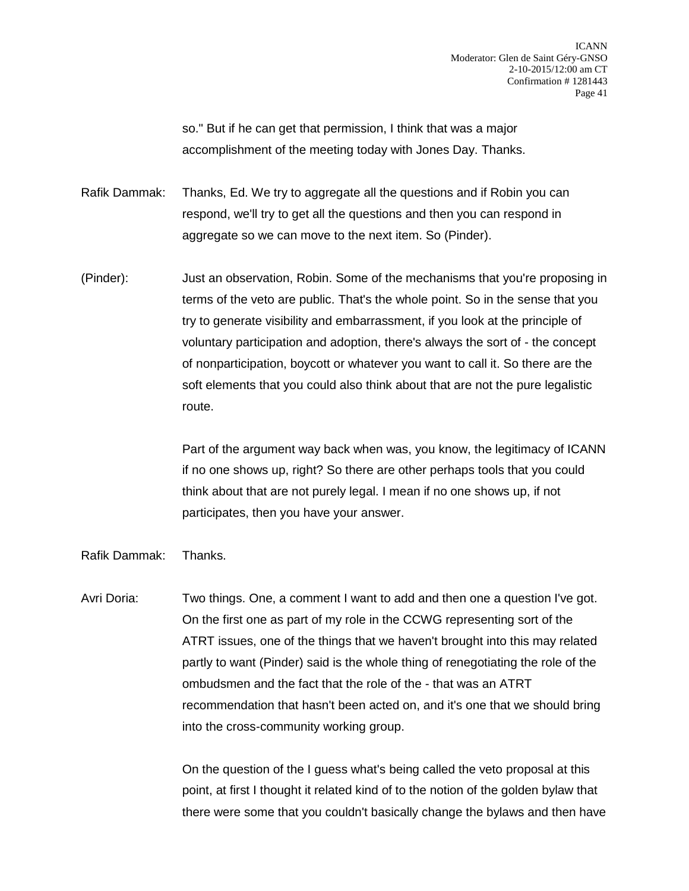so." But if he can get that permission, I think that was a major accomplishment of the meeting today with Jones Day. Thanks.

Rafik Dammak: Thanks, Ed. We try to aggregate all the questions and if Robin you can respond, we'll try to get all the questions and then you can respond in aggregate so we can move to the next item. So (Pinder).

(Pinder): Just an observation, Robin. Some of the mechanisms that you're proposing in terms of the veto are public. That's the whole point. So in the sense that you try to generate visibility and embarrassment, if you look at the principle of voluntary participation and adoption, there's always the sort of - the concept of nonparticipation, boycott or whatever you want to call it. So there are the soft elements that you could also think about that are not the pure legalistic route.

> Part of the argument way back when was, you know, the legitimacy of ICANN if no one shows up, right? So there are other perhaps tools that you could think about that are not purely legal. I mean if no one shows up, if not participates, then you have your answer.

Rafik Dammak: Thanks.

Avri Doria: Two things. One, a comment I want to add and then one a question I've got. On the first one as part of my role in the CCWG representing sort of the ATRT issues, one of the things that we haven't brought into this may related partly to want (Pinder) said is the whole thing of renegotiating the role of the ombudsmen and the fact that the role of the - that was an ATRT recommendation that hasn't been acted on, and it's one that we should bring into the cross-community working group.

> On the question of the I guess what's being called the veto proposal at this point, at first I thought it related kind of to the notion of the golden bylaw that there were some that you couldn't basically change the bylaws and then have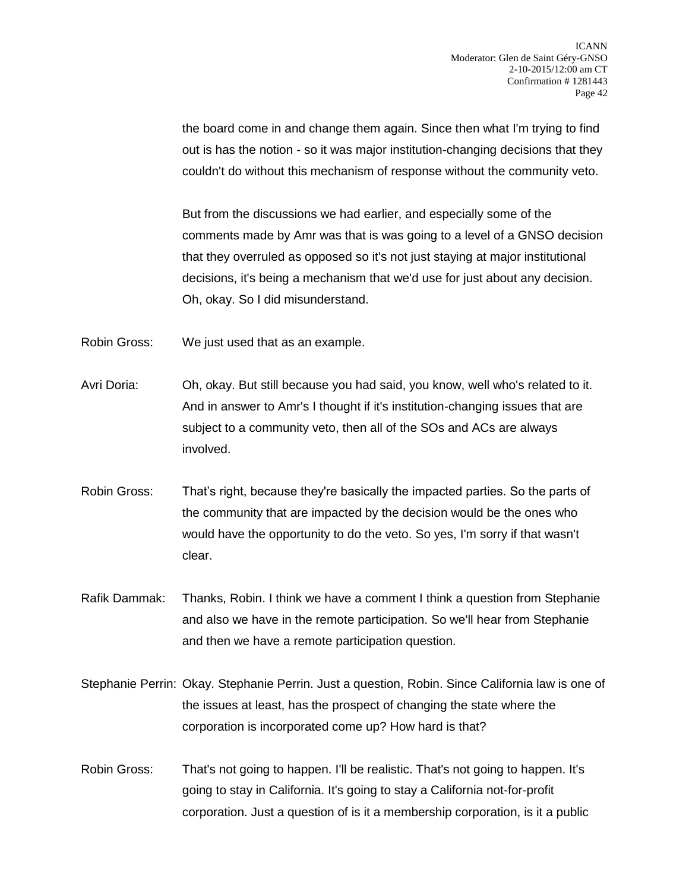the board come in and change them again. Since then what I'm trying to find out is has the notion - so it was major institution-changing decisions that they couldn't do without this mechanism of response without the community veto.

But from the discussions we had earlier, and especially some of the comments made by Amr was that is was going to a level of a GNSO decision that they overruled as opposed so it's not just staying at major institutional decisions, it's being a mechanism that we'd use for just about any decision. Oh, okay. So I did misunderstand.

Robin Gross: We just used that as an example.

- Avri Doria: Oh, okay. But still because you had said, you know, well who's related to it. And in answer to Amr's I thought if it's institution-changing issues that are subject to a community veto, then all of the SOs and ACs are always involved.
- Robin Gross: That's right, because they're basically the impacted parties. So the parts of the community that are impacted by the decision would be the ones who would have the opportunity to do the veto. So yes, I'm sorry if that wasn't clear.
- Rafik Dammak: Thanks, Robin. I think we have a comment I think a question from Stephanie and also we have in the remote participation. So we'll hear from Stephanie and then we have a remote participation question.
- Stephanie Perrin: Okay. Stephanie Perrin. Just a question, Robin. Since California law is one of the issues at least, has the prospect of changing the state where the corporation is incorporated come up? How hard is that?
- Robin Gross: That's not going to happen. I'll be realistic. That's not going to happen. It's going to stay in California. It's going to stay a California not-for-profit corporation. Just a question of is it a membership corporation, is it a public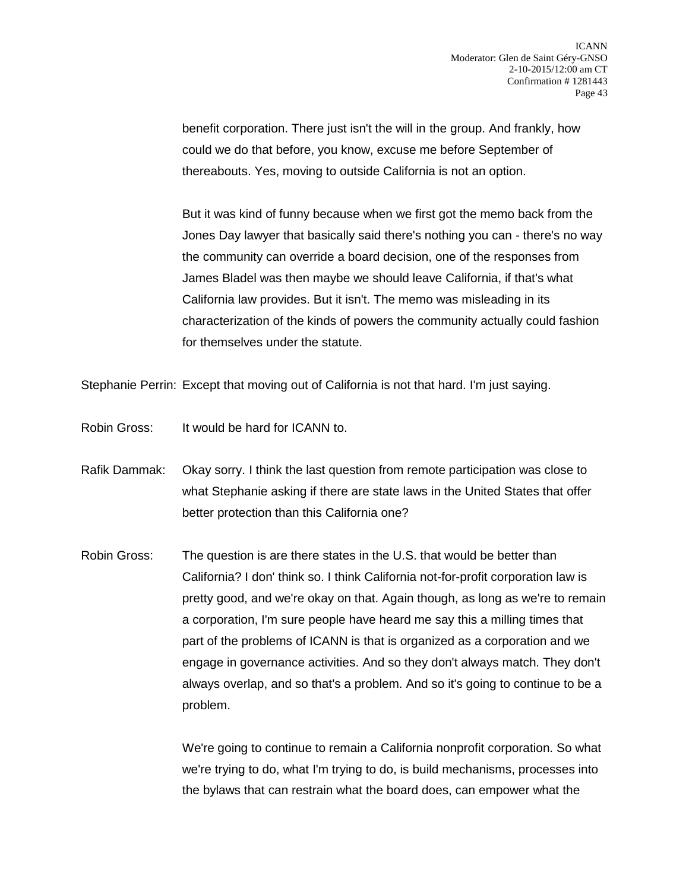benefit corporation. There just isn't the will in the group. And frankly, how could we do that before, you know, excuse me before September of thereabouts. Yes, moving to outside California is not an option.

But it was kind of funny because when we first got the memo back from the Jones Day lawyer that basically said there's nothing you can - there's no way the community can override a board decision, one of the responses from James Bladel was then maybe we should leave California, if that's what California law provides. But it isn't. The memo was misleading in its characterization of the kinds of powers the community actually could fashion for themselves under the statute.

Stephanie Perrin: Except that moving out of California is not that hard. I'm just saying.

- Robin Gross: It would be hard for ICANN to.
- Rafik Dammak: Okay sorry. I think the last question from remote participation was close to what Stephanie asking if there are state laws in the United States that offer better protection than this California one?
- Robin Gross: The question is are there states in the U.S. that would be better than California? I don' think so. I think California not-for-profit corporation law is pretty good, and we're okay on that. Again though, as long as we're to remain a corporation, I'm sure people have heard me say this a milling times that part of the problems of ICANN is that is organized as a corporation and we engage in governance activities. And so they don't always match. They don't always overlap, and so that's a problem. And so it's going to continue to be a problem.

We're going to continue to remain a California nonprofit corporation. So what we're trying to do, what I'm trying to do, is build mechanisms, processes into the bylaws that can restrain what the board does, can empower what the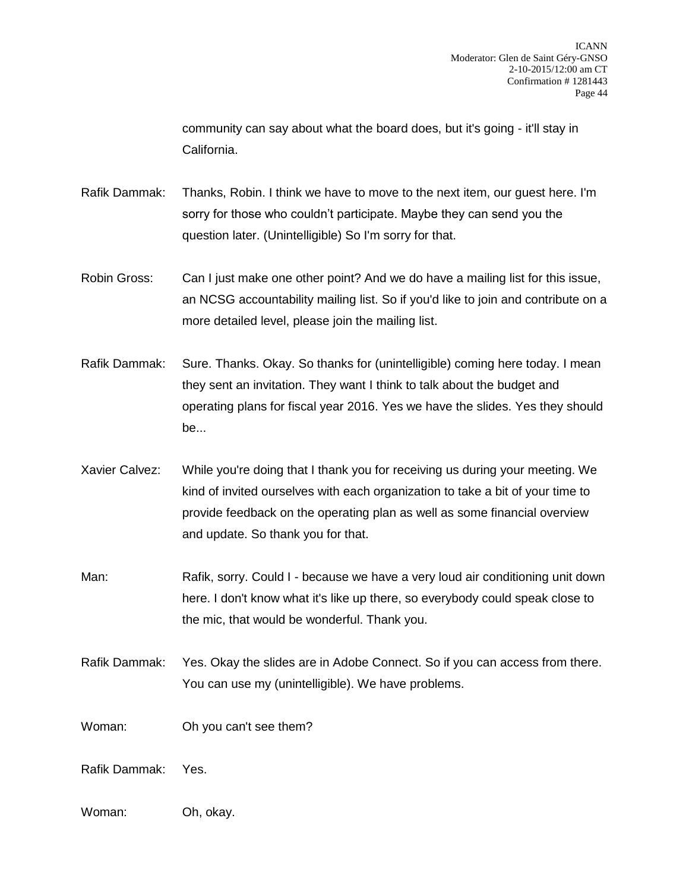community can say about what the board does, but it's going - it'll stay in California.

Rafik Dammak: Thanks, Robin. I think we have to move to the next item, our guest here. I'm sorry for those who couldn't participate. Maybe they can send you the question later. (Unintelligible) So I'm sorry for that.

- Robin Gross: Can I just make one other point? And we do have a mailing list for this issue, an NCSG accountability mailing list. So if you'd like to join and contribute on a more detailed level, please join the mailing list.
- Rafik Dammak: Sure. Thanks. Okay. So thanks for (unintelligible) coming here today. I mean they sent an invitation. They want I think to talk about the budget and operating plans for fiscal year 2016. Yes we have the slides. Yes they should be...
- Xavier Calvez: While you're doing that I thank you for receiving us during your meeting. We kind of invited ourselves with each organization to take a bit of your time to provide feedback on the operating plan as well as some financial overview and update. So thank you for that.
- Man: Rafik, sorry. Could I because we have a very loud air conditioning unit down here. I don't know what it's like up there, so everybody could speak close to the mic, that would be wonderful. Thank you.
- Rafik Dammak: Yes. Okay the slides are in Adobe Connect. So if you can access from there. You can use my (unintelligible). We have problems.
- Woman: Oh you can't see them?

Rafik Dammak: Yes.

Woman: Oh, okay.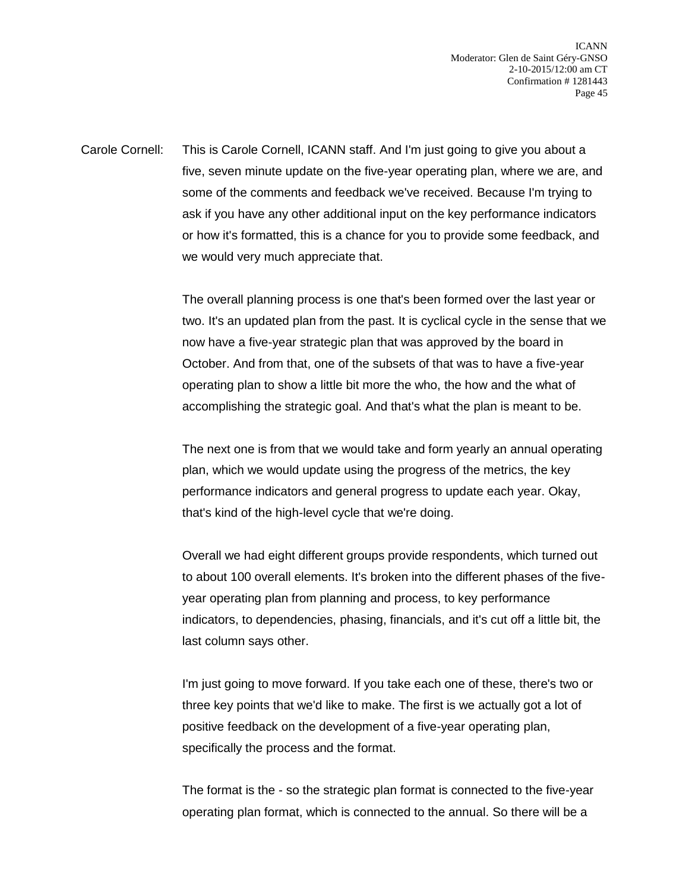Carole Cornell: This is Carole Cornell, ICANN staff. And I'm just going to give you about a five, seven minute update on the five-year operating plan, where we are, and some of the comments and feedback we've received. Because I'm trying to ask if you have any other additional input on the key performance indicators or how it's formatted, this is a chance for you to provide some feedback, and we would very much appreciate that.

> The overall planning process is one that's been formed over the last year or two. It's an updated plan from the past. It is cyclical cycle in the sense that we now have a five-year strategic plan that was approved by the board in October. And from that, one of the subsets of that was to have a five-year operating plan to show a little bit more the who, the how and the what of accomplishing the strategic goal. And that's what the plan is meant to be.

> The next one is from that we would take and form yearly an annual operating plan, which we would update using the progress of the metrics, the key performance indicators and general progress to update each year. Okay, that's kind of the high-level cycle that we're doing.

> Overall we had eight different groups provide respondents, which turned out to about 100 overall elements. It's broken into the different phases of the fiveyear operating plan from planning and process, to key performance indicators, to dependencies, phasing, financials, and it's cut off a little bit, the last column says other.

I'm just going to move forward. If you take each one of these, there's two or three key points that we'd like to make. The first is we actually got a lot of positive feedback on the development of a five-year operating plan, specifically the process and the format.

The format is the - so the strategic plan format is connected to the five-year operating plan format, which is connected to the annual. So there will be a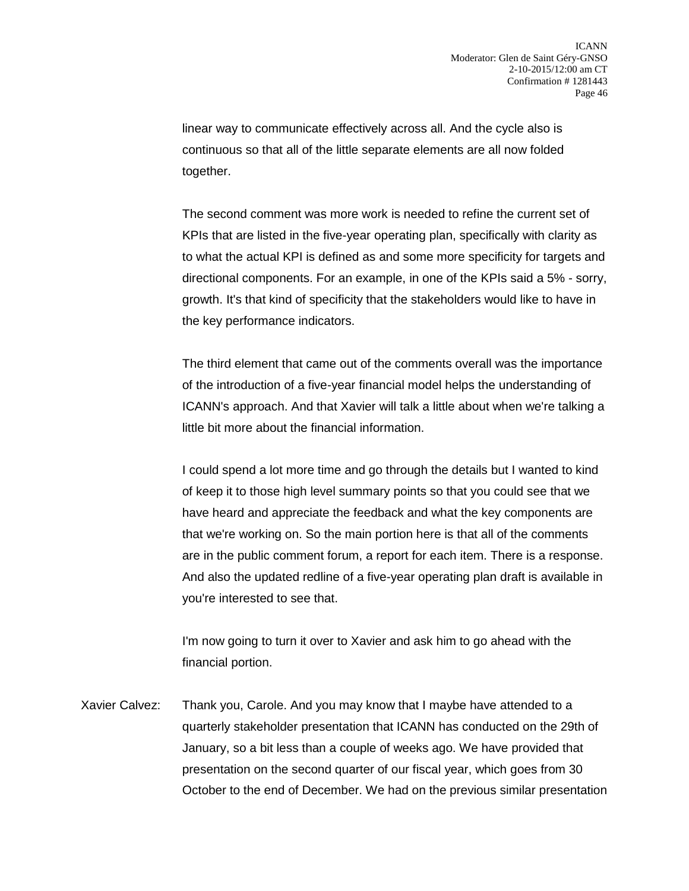linear way to communicate effectively across all. And the cycle also is continuous so that all of the little separate elements are all now folded together.

The second comment was more work is needed to refine the current set of KPIs that are listed in the five-year operating plan, specifically with clarity as to what the actual KPI is defined as and some more specificity for targets and directional components. For an example, in one of the KPIs said a 5% - sorry, growth. It's that kind of specificity that the stakeholders would like to have in the key performance indicators.

The third element that came out of the comments overall was the importance of the introduction of a five-year financial model helps the understanding of ICANN's approach. And that Xavier will talk a little about when we're talking a little bit more about the financial information.

I could spend a lot more time and go through the details but I wanted to kind of keep it to those high level summary points so that you could see that we have heard and appreciate the feedback and what the key components are that we're working on. So the main portion here is that all of the comments are in the public comment forum, a report for each item. There is a response. And also the updated redline of a five-year operating plan draft is available in you're interested to see that.

I'm now going to turn it over to Xavier and ask him to go ahead with the financial portion.

Xavier Calvez: Thank you, Carole. And you may know that I maybe have attended to a quarterly stakeholder presentation that ICANN has conducted on the 29th of January, so a bit less than a couple of weeks ago. We have provided that presentation on the second quarter of our fiscal year, which goes from 30 October to the end of December. We had on the previous similar presentation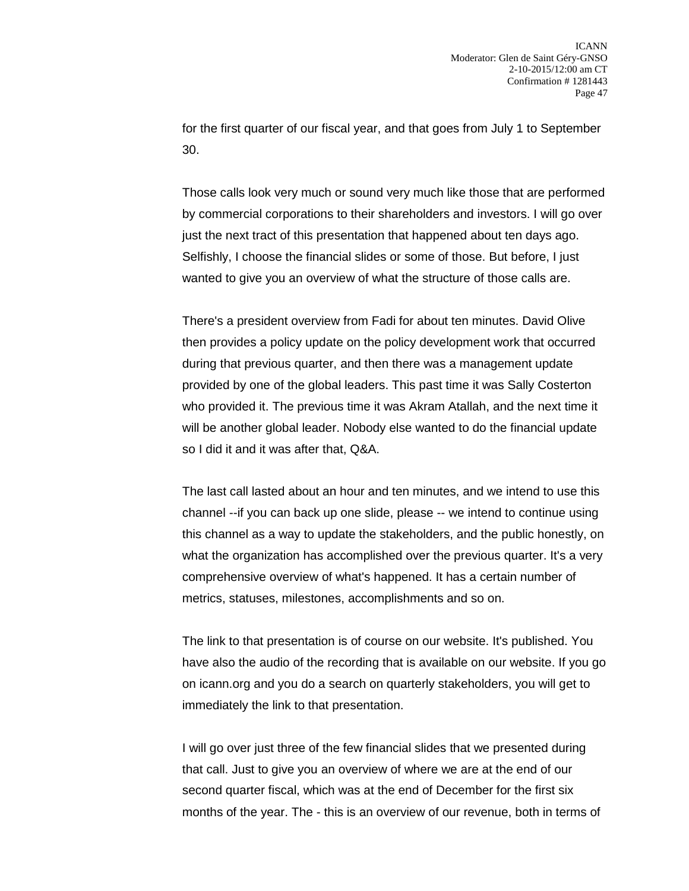for the first quarter of our fiscal year, and that goes from July 1 to September 30.

Those calls look very much or sound very much like those that are performed by commercial corporations to their shareholders and investors. I will go over just the next tract of this presentation that happened about ten days ago. Selfishly, I choose the financial slides or some of those. But before, I just wanted to give you an overview of what the structure of those calls are.

There's a president overview from Fadi for about ten minutes. David Olive then provides a policy update on the policy development work that occurred during that previous quarter, and then there was a management update provided by one of the global leaders. This past time it was Sally Costerton who provided it. The previous time it was Akram Atallah, and the next time it will be another global leader. Nobody else wanted to do the financial update so I did it and it was after that, Q&A.

The last call lasted about an hour and ten minutes, and we intend to use this channel --if you can back up one slide, please -- we intend to continue using this channel as a way to update the stakeholders, and the public honestly, on what the organization has accomplished over the previous quarter. It's a very comprehensive overview of what's happened. It has a certain number of metrics, statuses, milestones, accomplishments and so on.

The link to that presentation is of course on our website. It's published. You have also the audio of the recording that is available on our website. If you go on icann.org and you do a search on quarterly stakeholders, you will get to immediately the link to that presentation.

I will go over just three of the few financial slides that we presented during that call. Just to give you an overview of where we are at the end of our second quarter fiscal, which was at the end of December for the first six months of the year. The - this is an overview of our revenue, both in terms of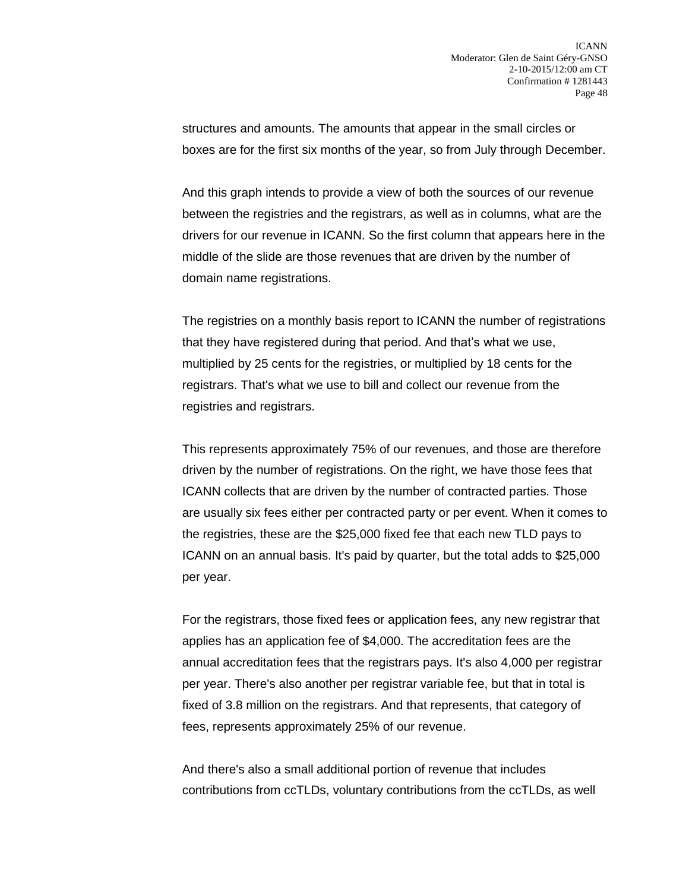structures and amounts. The amounts that appear in the small circles or boxes are for the first six months of the year, so from July through December.

And this graph intends to provide a view of both the sources of our revenue between the registries and the registrars, as well as in columns, what are the drivers for our revenue in ICANN. So the first column that appears here in the middle of the slide are those revenues that are driven by the number of domain name registrations.

The registries on a monthly basis report to ICANN the number of registrations that they have registered during that period. And that's what we use, multiplied by 25 cents for the registries, or multiplied by 18 cents for the registrars. That's what we use to bill and collect our revenue from the registries and registrars.

This represents approximately 75% of our revenues, and those are therefore driven by the number of registrations. On the right, we have those fees that ICANN collects that are driven by the number of contracted parties. Those are usually six fees either per contracted party or per event. When it comes to the registries, these are the \$25,000 fixed fee that each new TLD pays to ICANN on an annual basis. It's paid by quarter, but the total adds to \$25,000 per year.

For the registrars, those fixed fees or application fees, any new registrar that applies has an application fee of \$4,000. The accreditation fees are the annual accreditation fees that the registrars pays. It's also 4,000 per registrar per year. There's also another per registrar variable fee, but that in total is fixed of 3.8 million on the registrars. And that represents, that category of fees, represents approximately 25% of our revenue.

And there's also a small additional portion of revenue that includes contributions from ccTLDs, voluntary contributions from the ccTLDs, as well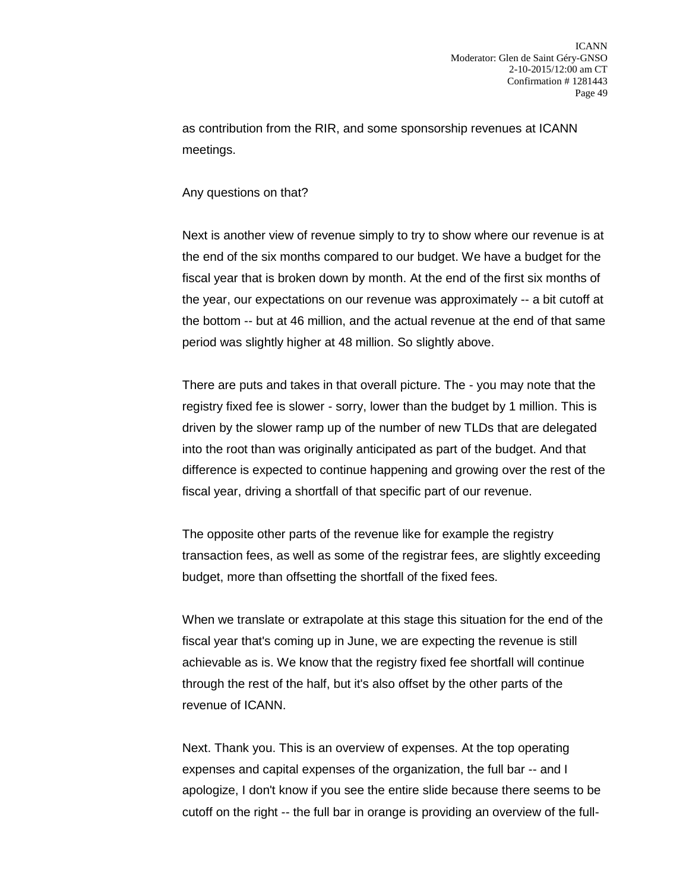as contribution from the RIR, and some sponsorship revenues at ICANN meetings.

## Any questions on that?

Next is another view of revenue simply to try to show where our revenue is at the end of the six months compared to our budget. We have a budget for the fiscal year that is broken down by month. At the end of the first six months of the year, our expectations on our revenue was approximately -- a bit cutoff at the bottom -- but at 46 million, and the actual revenue at the end of that same period was slightly higher at 48 million. So slightly above.

There are puts and takes in that overall picture. The - you may note that the registry fixed fee is slower - sorry, lower than the budget by 1 million. This is driven by the slower ramp up of the number of new TLDs that are delegated into the root than was originally anticipated as part of the budget. And that difference is expected to continue happening and growing over the rest of the fiscal year, driving a shortfall of that specific part of our revenue.

The opposite other parts of the revenue like for example the registry transaction fees, as well as some of the registrar fees, are slightly exceeding budget, more than offsetting the shortfall of the fixed fees.

When we translate or extrapolate at this stage this situation for the end of the fiscal year that's coming up in June, we are expecting the revenue is still achievable as is. We know that the registry fixed fee shortfall will continue through the rest of the half, but it's also offset by the other parts of the revenue of ICANN.

Next. Thank you. This is an overview of expenses. At the top operating expenses and capital expenses of the organization, the full bar -- and I apologize, I don't know if you see the entire slide because there seems to be cutoff on the right -- the full bar in orange is providing an overview of the full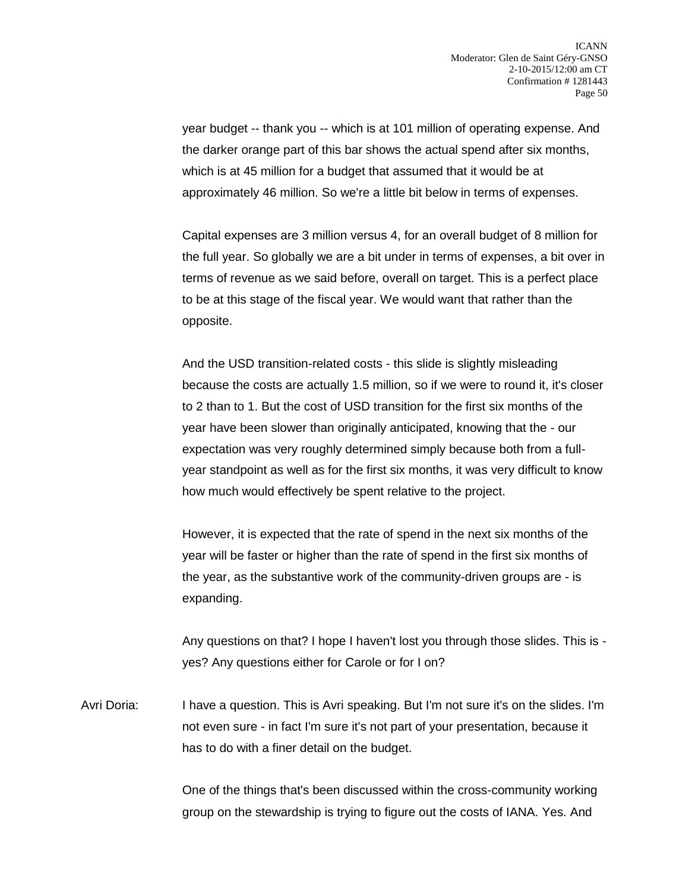year budget -- thank you -- which is at 101 million of operating expense. And the darker orange part of this bar shows the actual spend after six months, which is at 45 million for a budget that assumed that it would be at approximately 46 million. So we're a little bit below in terms of expenses.

Capital expenses are 3 million versus 4, for an overall budget of 8 million for the full year. So globally we are a bit under in terms of expenses, a bit over in terms of revenue as we said before, overall on target. This is a perfect place to be at this stage of the fiscal year. We would want that rather than the opposite.

And the USD transition-related costs - this slide is slightly misleading because the costs are actually 1.5 million, so if we were to round it, it's closer to 2 than to 1. But the cost of USD transition for the first six months of the year have been slower than originally anticipated, knowing that the - our expectation was very roughly determined simply because both from a fullyear standpoint as well as for the first six months, it was very difficult to know how much would effectively be spent relative to the project.

However, it is expected that the rate of spend in the next six months of the year will be faster or higher than the rate of spend in the first six months of the year, as the substantive work of the community-driven groups are - is expanding.

Any questions on that? I hope I haven't lost you through those slides. This is yes? Any questions either for Carole or for I on?

Avri Doria: I have a question. This is Avri speaking. But I'm not sure it's on the slides. I'm not even sure - in fact I'm sure it's not part of your presentation, because it has to do with a finer detail on the budget.

> One of the things that's been discussed within the cross-community working group on the stewardship is trying to figure out the costs of IANA. Yes. And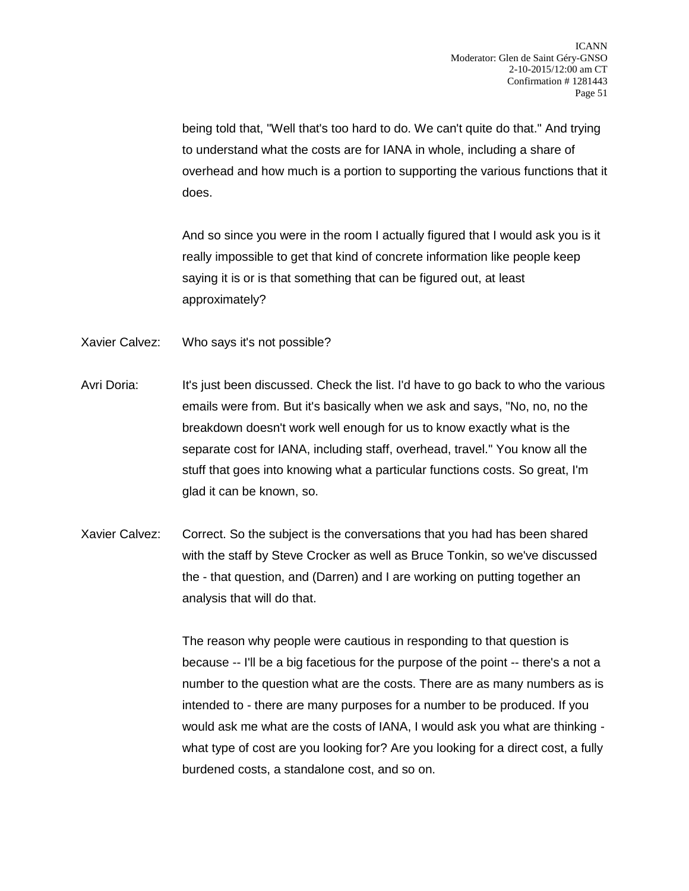being told that, "Well that's too hard to do. We can't quite do that." And trying to understand what the costs are for IANA in whole, including a share of overhead and how much is a portion to supporting the various functions that it does.

And so since you were in the room I actually figured that I would ask you is it really impossible to get that kind of concrete information like people keep saying it is or is that something that can be figured out, at least approximately?

- Xavier Calvez: Who says it's not possible?
- Avri Doria: It's just been discussed. Check the list. I'd have to go back to who the various emails were from. But it's basically when we ask and says, "No, no, no the breakdown doesn't work well enough for us to know exactly what is the separate cost for IANA, including staff, overhead, travel." You know all the stuff that goes into knowing what a particular functions costs. So great, I'm glad it can be known, so.
- Xavier Calvez: Correct. So the subject is the conversations that you had has been shared with the staff by Steve Crocker as well as Bruce Tonkin, so we've discussed the - that question, and (Darren) and I are working on putting together an analysis that will do that.

The reason why people were cautious in responding to that question is because -- I'll be a big facetious for the purpose of the point -- there's a not a number to the question what are the costs. There are as many numbers as is intended to - there are many purposes for a number to be produced. If you would ask me what are the costs of IANA, I would ask you what are thinking what type of cost are you looking for? Are you looking for a direct cost, a fully burdened costs, a standalone cost, and so on.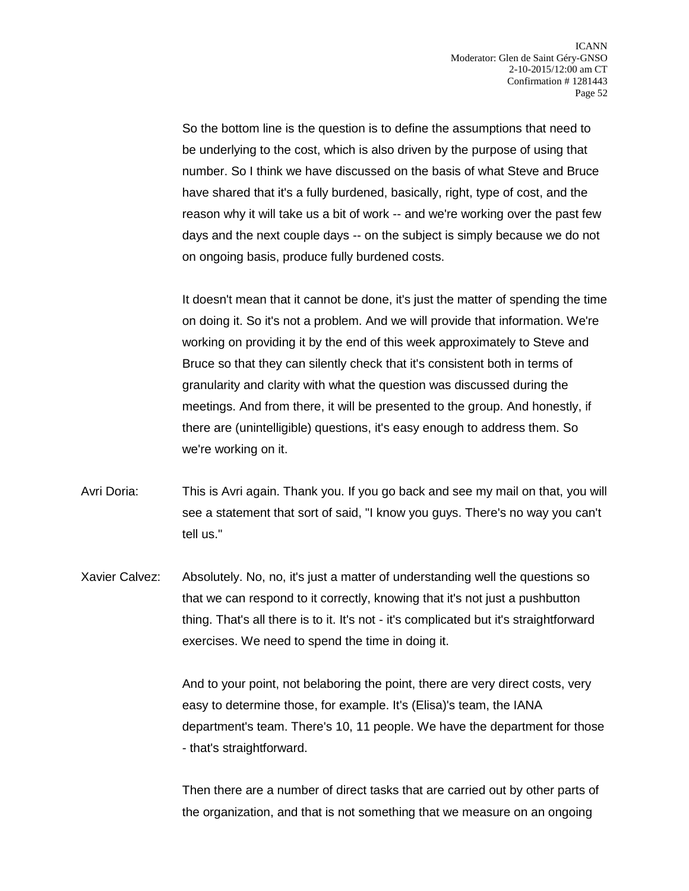So the bottom line is the question is to define the assumptions that need to be underlying to the cost, which is also driven by the purpose of using that number. So I think we have discussed on the basis of what Steve and Bruce have shared that it's a fully burdened, basically, right, type of cost, and the reason why it will take us a bit of work -- and we're working over the past few days and the next couple days -- on the subject is simply because we do not on ongoing basis, produce fully burdened costs.

It doesn't mean that it cannot be done, it's just the matter of spending the time on doing it. So it's not a problem. And we will provide that information. We're working on providing it by the end of this week approximately to Steve and Bruce so that they can silently check that it's consistent both in terms of granularity and clarity with what the question was discussed during the meetings. And from there, it will be presented to the group. And honestly, if there are (unintelligible) questions, it's easy enough to address them. So we're working on it.

- Avri Doria: This is Avri again. Thank you. If you go back and see my mail on that, you will see a statement that sort of said, "I know you guys. There's no way you can't tell us."
- Xavier Calvez: Absolutely. No, no, it's just a matter of understanding well the questions so that we can respond to it correctly, knowing that it's not just a pushbutton thing. That's all there is to it. It's not - it's complicated but it's straightforward exercises. We need to spend the time in doing it.

And to your point, not belaboring the point, there are very direct costs, very easy to determine those, for example. It's (Elisa)'s team, the IANA department's team. There's 10, 11 people. We have the department for those - that's straightforward.

Then there are a number of direct tasks that are carried out by other parts of the organization, and that is not something that we measure on an ongoing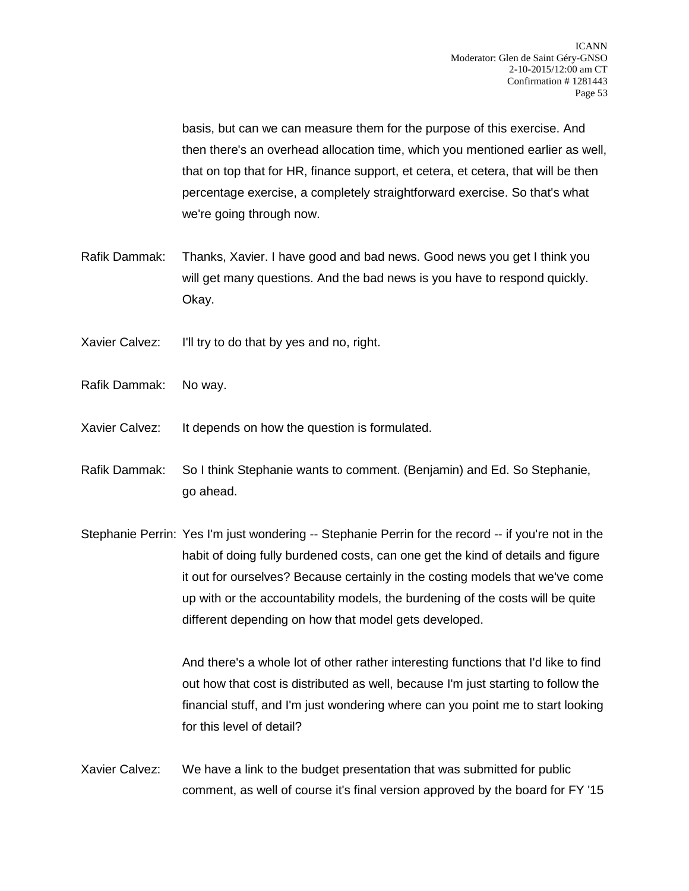basis, but can we can measure them for the purpose of this exercise. And then there's an overhead allocation time, which you mentioned earlier as well, that on top that for HR, finance support, et cetera, et cetera, that will be then percentage exercise, a completely straightforward exercise. So that's what we're going through now.

- Rafik Dammak: Thanks, Xavier. I have good and bad news. Good news you get I think you will get many questions. And the bad news is you have to respond quickly. Okay.
- Xavier Calvez: I'll try to do that by yes and no, right.
- Rafik Dammak: No way.
- Xavier Calvez: It depends on how the question is formulated.
- Rafik Dammak: So I think Stephanie wants to comment. (Benjamin) and Ed. So Stephanie, go ahead.
- Stephanie Perrin: Yes I'm just wondering -- Stephanie Perrin for the record -- if you're not in the habit of doing fully burdened costs, can one get the kind of details and figure it out for ourselves? Because certainly in the costing models that we've come up with or the accountability models, the burdening of the costs will be quite different depending on how that model gets developed.

And there's a whole lot of other rather interesting functions that I'd like to find out how that cost is distributed as well, because I'm just starting to follow the financial stuff, and I'm just wondering where can you point me to start looking for this level of detail?

Xavier Calvez: We have a link to the budget presentation that was submitted for public comment, as well of course it's final version approved by the board for FY '15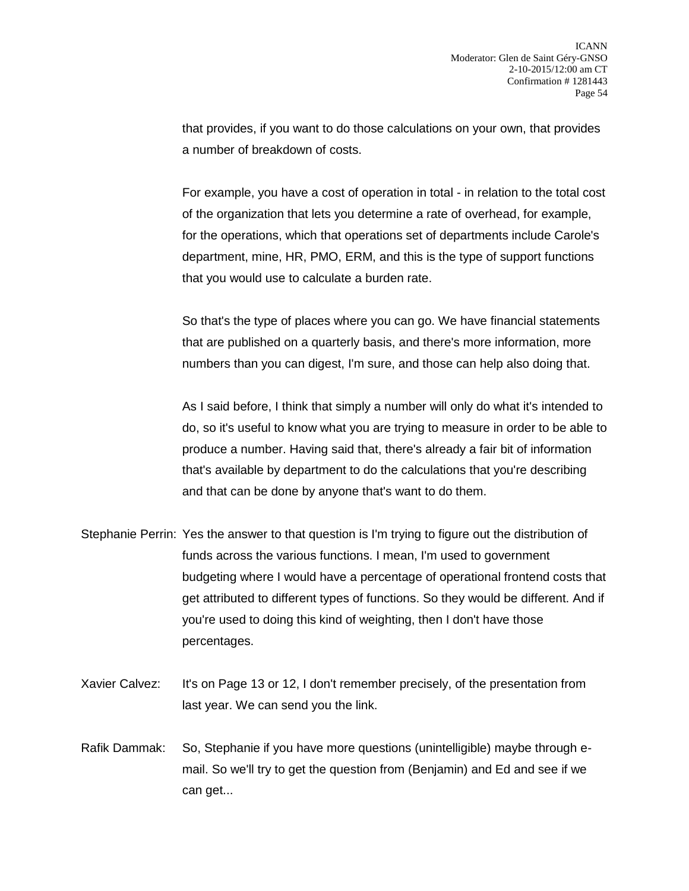that provides, if you want to do those calculations on your own, that provides a number of breakdown of costs.

For example, you have a cost of operation in total - in relation to the total cost of the organization that lets you determine a rate of overhead, for example, for the operations, which that operations set of departments include Carole's department, mine, HR, PMO, ERM, and this is the type of support functions that you would use to calculate a burden rate.

So that's the type of places where you can go. We have financial statements that are published on a quarterly basis, and there's more information, more numbers than you can digest, I'm sure, and those can help also doing that.

As I said before, I think that simply a number will only do what it's intended to do, so it's useful to know what you are trying to measure in order to be able to produce a number. Having said that, there's already a fair bit of information that's available by department to do the calculations that you're describing and that can be done by anyone that's want to do them.

- Stephanie Perrin: Yes the answer to that question is I'm trying to figure out the distribution of funds across the various functions. I mean, I'm used to government budgeting where I would have a percentage of operational frontend costs that get attributed to different types of functions. So they would be different. And if you're used to doing this kind of weighting, then I don't have those percentages.
- Xavier Calvez: It's on Page 13 or 12, I don't remember precisely, of the presentation from last year. We can send you the link.
- Rafik Dammak: So, Stephanie if you have more questions (unintelligible) maybe through email. So we'll try to get the question from (Benjamin) and Ed and see if we can get...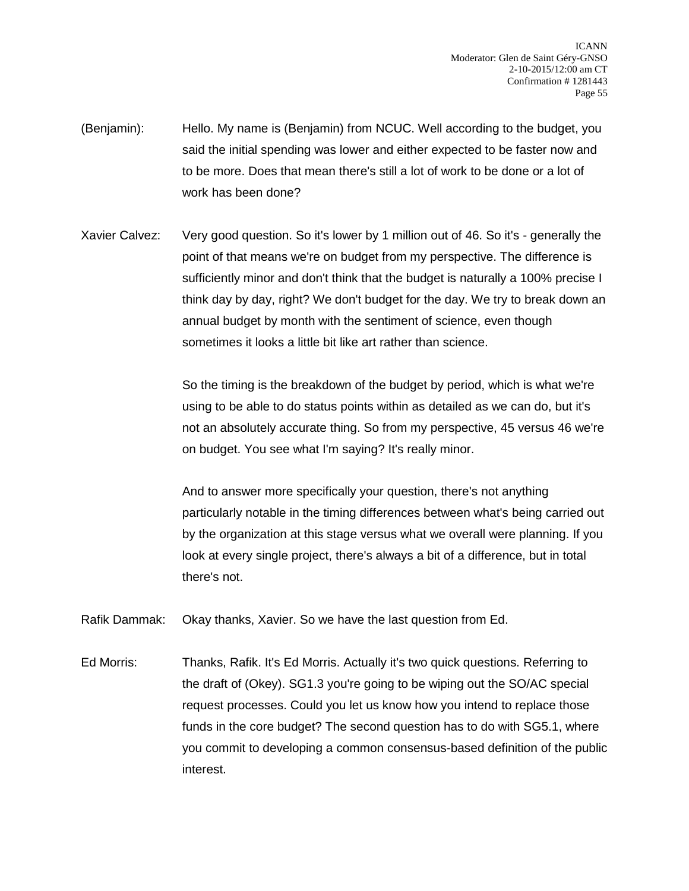- (Benjamin): Hello. My name is (Benjamin) from NCUC. Well according to the budget, you said the initial spending was lower and either expected to be faster now and to be more. Does that mean there's still a lot of work to be done or a lot of work has been done?
- Xavier Calvez: Very good question. So it's lower by 1 million out of 46. So it's generally the point of that means we're on budget from my perspective. The difference is sufficiently minor and don't think that the budget is naturally a 100% precise I think day by day, right? We don't budget for the day. We try to break down an annual budget by month with the sentiment of science, even though sometimes it looks a little bit like art rather than science.

So the timing is the breakdown of the budget by period, which is what we're using to be able to do status points within as detailed as we can do, but it's not an absolutely accurate thing. So from my perspective, 45 versus 46 we're on budget. You see what I'm saying? It's really minor.

And to answer more specifically your question, there's not anything particularly notable in the timing differences between what's being carried out by the organization at this stage versus what we overall were planning. If you look at every single project, there's always a bit of a difference, but in total there's not.

Rafik Dammak: Okay thanks, Xavier. So we have the last question from Ed.

Ed Morris: Thanks, Rafik. It's Ed Morris. Actually it's two quick questions. Referring to the draft of (Okey). SG1.3 you're going to be wiping out the SO/AC special request processes. Could you let us know how you intend to replace those funds in the core budget? The second question has to do with SG5.1, where you commit to developing a common consensus-based definition of the public interest.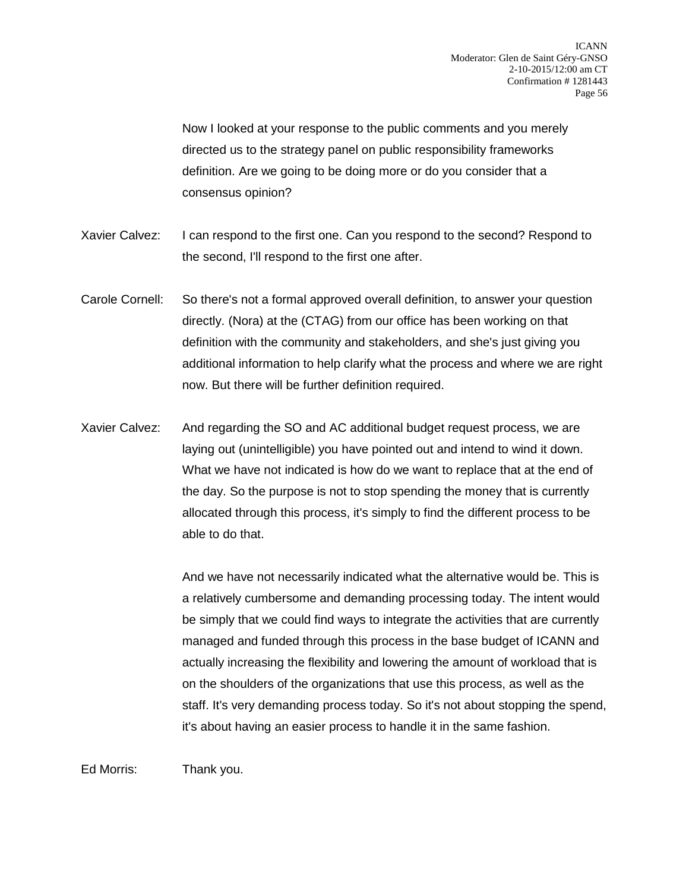Now I looked at your response to the public comments and you merely directed us to the strategy panel on public responsibility frameworks definition. Are we going to be doing more or do you consider that a consensus opinion?

- Xavier Calvez: I can respond to the first one. Can you respond to the second? Respond to the second, I'll respond to the first one after.
- Carole Cornell: So there's not a formal approved overall definition, to answer your question directly. (Nora) at the (CTAG) from our office has been working on that definition with the community and stakeholders, and she's just giving you additional information to help clarify what the process and where we are right now. But there will be further definition required.
- Xavier Calvez: And regarding the SO and AC additional budget request process, we are laying out (unintelligible) you have pointed out and intend to wind it down. What we have not indicated is how do we want to replace that at the end of the day. So the purpose is not to stop spending the money that is currently allocated through this process, it's simply to find the different process to be able to do that.

And we have not necessarily indicated what the alternative would be. This is a relatively cumbersome and demanding processing today. The intent would be simply that we could find ways to integrate the activities that are currently managed and funded through this process in the base budget of ICANN and actually increasing the flexibility and lowering the amount of workload that is on the shoulders of the organizations that use this process, as well as the staff. It's very demanding process today. So it's not about stopping the spend, it's about having an easier process to handle it in the same fashion.

Ed Morris: Thank you.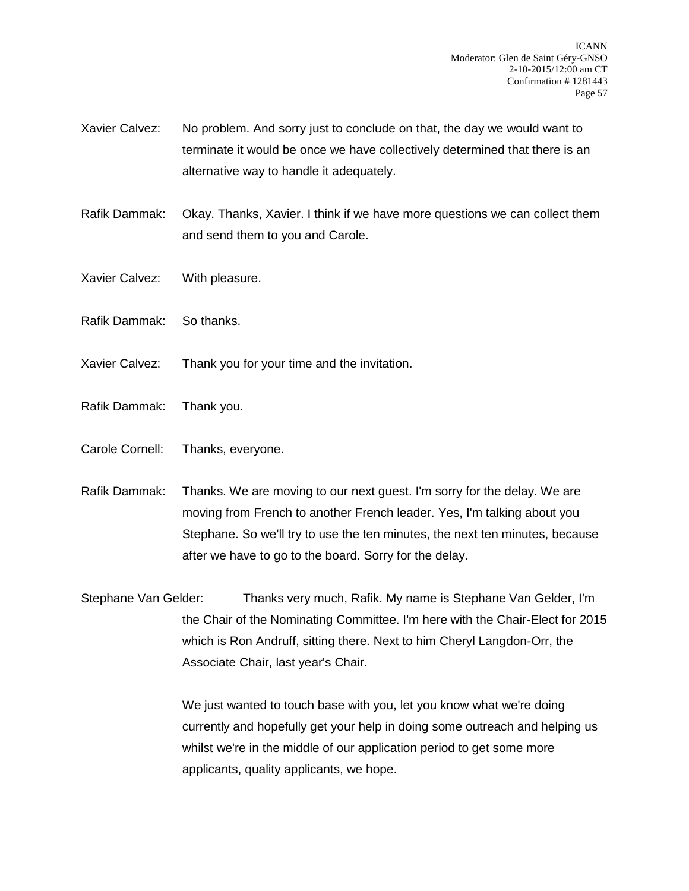- Xavier Calvez: No problem. And sorry just to conclude on that, the day we would want to terminate it would be once we have collectively determined that there is an alternative way to handle it adequately.
- Rafik Dammak: Okay. Thanks, Xavier. I think if we have more questions we can collect them and send them to you and Carole.
- Xavier Calvez: With pleasure.
- Rafik Dammak: So thanks.
- Xavier Calvez: Thank you for your time and the invitation.
- Rafik Dammak: Thank you.
- Carole Cornell: Thanks, everyone.
- Rafik Dammak: Thanks. We are moving to our next guest. I'm sorry for the delay. We are moving from French to another French leader. Yes, I'm talking about you Stephane. So we'll try to use the ten minutes, the next ten minutes, because after we have to go to the board. Sorry for the delay.
- Stephane Van Gelder: Thanks very much, Rafik. My name is Stephane Van Gelder, I'm the Chair of the Nominating Committee. I'm here with the Chair-Elect for 2015 which is Ron Andruff, sitting there. Next to him Cheryl Langdon-Orr, the Associate Chair, last year's Chair.

We just wanted to touch base with you, let you know what we're doing currently and hopefully get your help in doing some outreach and helping us whilst we're in the middle of our application period to get some more applicants, quality applicants, we hope.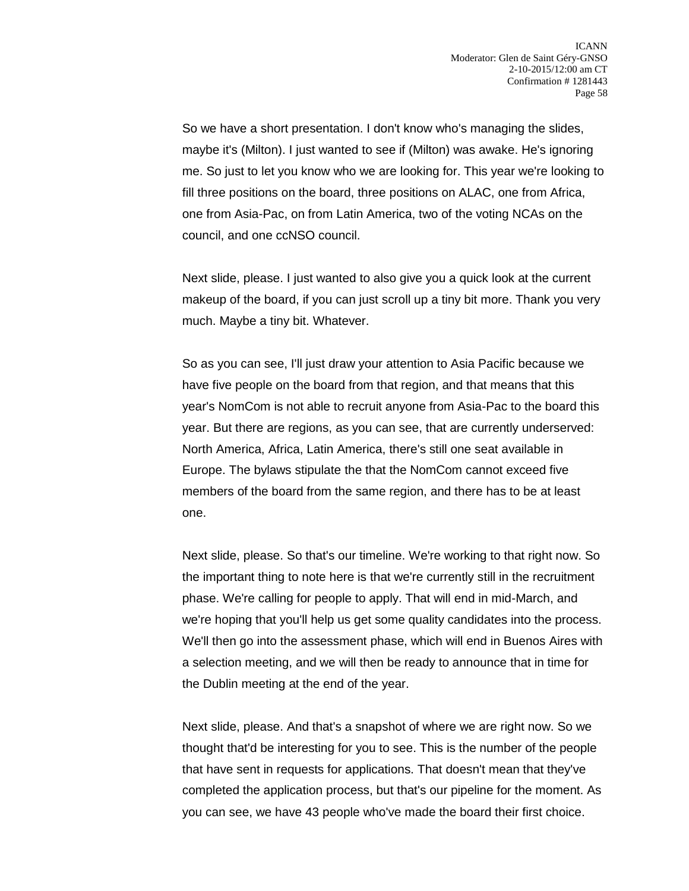So we have a short presentation. I don't know who's managing the slides, maybe it's (Milton). I just wanted to see if (Milton) was awake. He's ignoring me. So just to let you know who we are looking for. This year we're looking to fill three positions on the board, three positions on ALAC, one from Africa, one from Asia-Pac, on from Latin America, two of the voting NCAs on the council, and one ccNSO council.

Next slide, please. I just wanted to also give you a quick look at the current makeup of the board, if you can just scroll up a tiny bit more. Thank you very much. Maybe a tiny bit. Whatever.

So as you can see, I'll just draw your attention to Asia Pacific because we have five people on the board from that region, and that means that this year's NomCom is not able to recruit anyone from Asia-Pac to the board this year. But there are regions, as you can see, that are currently underserved: North America, Africa, Latin America, there's still one seat available in Europe. The bylaws stipulate the that the NomCom cannot exceed five members of the board from the same region, and there has to be at least one.

Next slide, please. So that's our timeline. We're working to that right now. So the important thing to note here is that we're currently still in the recruitment phase. We're calling for people to apply. That will end in mid-March, and we're hoping that you'll help us get some quality candidates into the process. We'll then go into the assessment phase, which will end in Buenos Aires with a selection meeting, and we will then be ready to announce that in time for the Dublin meeting at the end of the year.

Next slide, please. And that's a snapshot of where we are right now. So we thought that'd be interesting for you to see. This is the number of the people that have sent in requests for applications. That doesn't mean that they've completed the application process, but that's our pipeline for the moment. As you can see, we have 43 people who've made the board their first choice.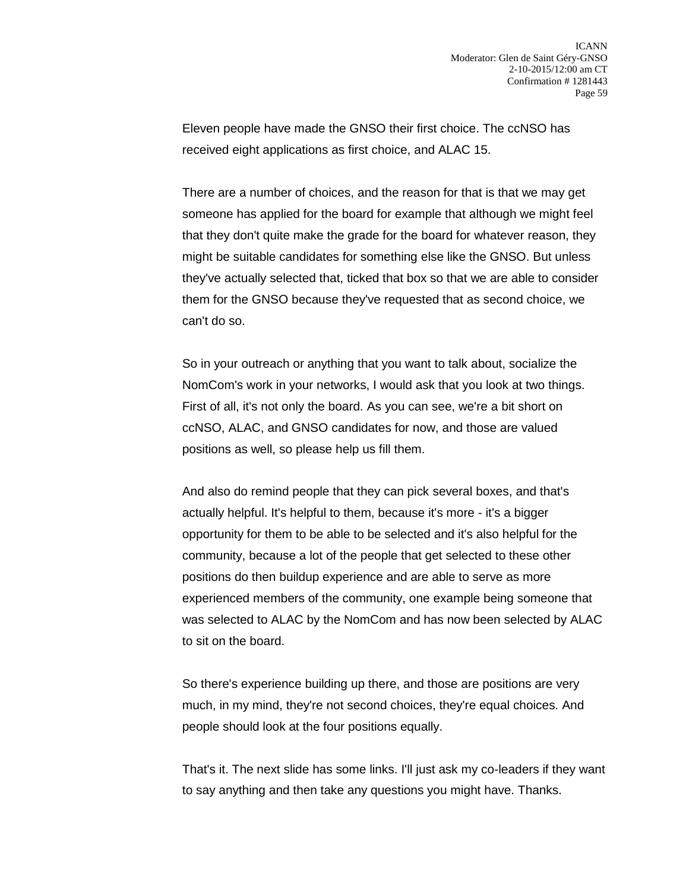Eleven people have made the GNSO their first choice. The ccNSO has received eight applications as first choice, and ALAC 15.

There are a number of choices, and the reason for that is that we may get someone has applied for the board for example that although we might feel that they don't quite make the grade for the board for whatever reason, they might be suitable candidates for something else like the GNSO. But unless they've actually selected that, ticked that box so that we are able to consider them for the GNSO because they've requested that as second choice, we can't do so.

So in your outreach or anything that you want to talk about, socialize the NomCom's work in your networks, I would ask that you look at two things. First of all, it's not only the board. As you can see, we're a bit short on ccNSO, ALAC, and GNSO candidates for now, and those are valued positions as well, so please help us fill them.

And also do remind people that they can pick several boxes, and that's actually helpful. It's helpful to them, because it's more - it's a bigger opportunity for them to be able to be selected and it's also helpful for the community, because a lot of the people that get selected to these other positions do then buildup experience and are able to serve as more experienced members of the community, one example being someone that was selected to ALAC by the NomCom and has now been selected by ALAC to sit on the board.

So there's experience building up there, and those are positions are very much, in my mind, they're not second choices, they're equal choices. And people should look at the four positions equally.

That's it. The next slide has some links. I'll just ask my co-leaders if they want to say anything and then take any questions you might have. Thanks.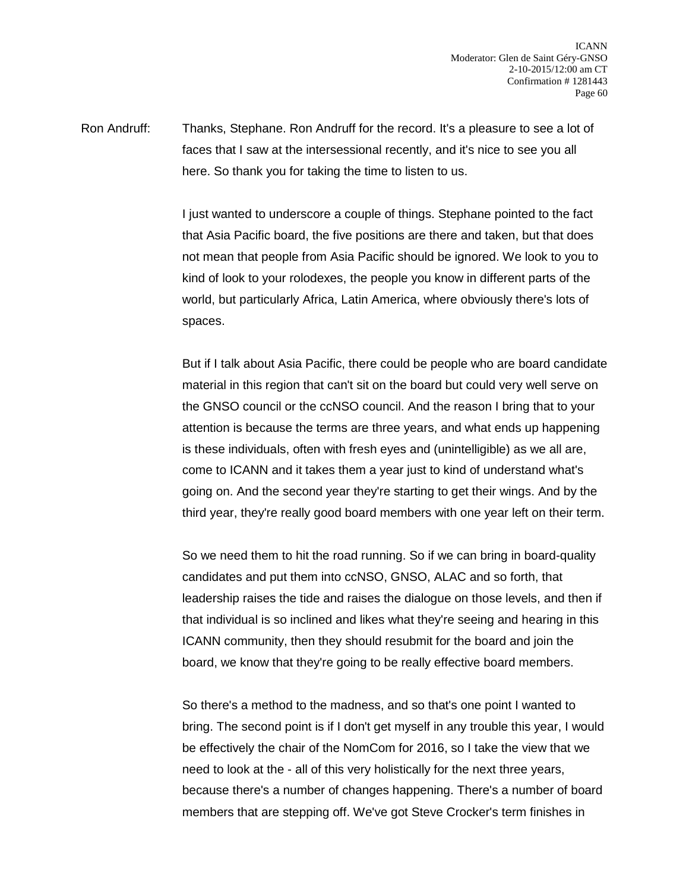Ron Andruff: Thanks, Stephane. Ron Andruff for the record. It's a pleasure to see a lot of faces that I saw at the intersessional recently, and it's nice to see you all here. So thank you for taking the time to listen to us.

> I just wanted to underscore a couple of things. Stephane pointed to the fact that Asia Pacific board, the five positions are there and taken, but that does not mean that people from Asia Pacific should be ignored. We look to you to kind of look to your rolodexes, the people you know in different parts of the world, but particularly Africa, Latin America, where obviously there's lots of spaces.

But if I talk about Asia Pacific, there could be people who are board candidate material in this region that can't sit on the board but could very well serve on the GNSO council or the ccNSO council. And the reason I bring that to your attention is because the terms are three years, and what ends up happening is these individuals, often with fresh eyes and (unintelligible) as we all are, come to ICANN and it takes them a year just to kind of understand what's going on. And the second year they're starting to get their wings. And by the third year, they're really good board members with one year left on their term.

So we need them to hit the road running. So if we can bring in board-quality candidates and put them into ccNSO, GNSO, ALAC and so forth, that leadership raises the tide and raises the dialogue on those levels, and then if that individual is so inclined and likes what they're seeing and hearing in this ICANN community, then they should resubmit for the board and join the board, we know that they're going to be really effective board members.

So there's a method to the madness, and so that's one point I wanted to bring. The second point is if I don't get myself in any trouble this year, I would be effectively the chair of the NomCom for 2016, so I take the view that we need to look at the - all of this very holistically for the next three years, because there's a number of changes happening. There's a number of board members that are stepping off. We've got Steve Crocker's term finishes in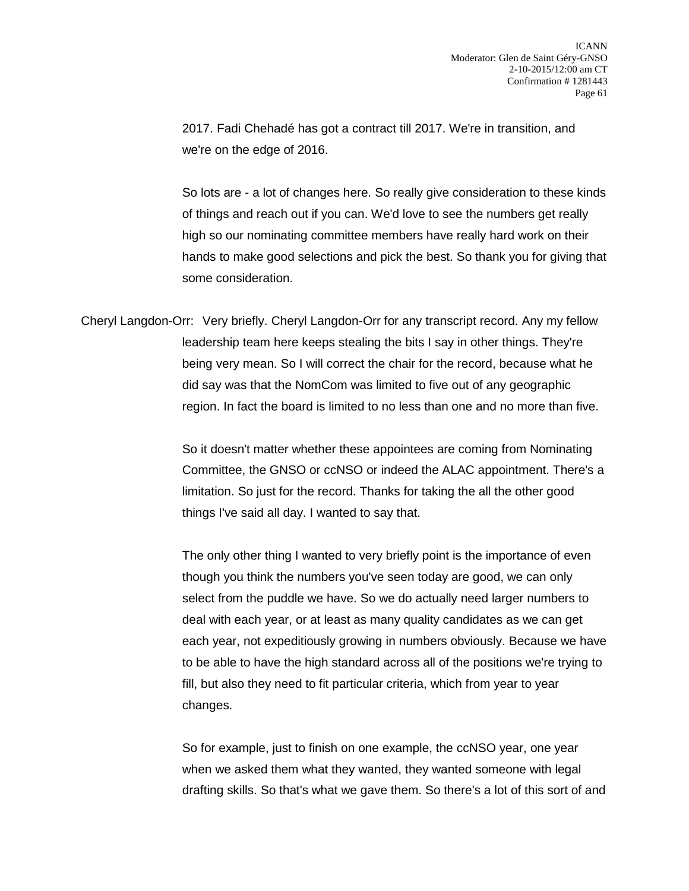2017. Fadi Chehadé has got a contract till 2017. We're in transition, and we're on the edge of 2016.

So lots are - a lot of changes here. So really give consideration to these kinds of things and reach out if you can. We'd love to see the numbers get really high so our nominating committee members have really hard work on their hands to make good selections and pick the best. So thank you for giving that some consideration.

Cheryl Langdon-Orr: Very briefly. Cheryl Langdon-Orr for any transcript record. Any my fellow leadership team here keeps stealing the bits I say in other things. They're being very mean. So I will correct the chair for the record, because what he did say was that the NomCom was limited to five out of any geographic region. In fact the board is limited to no less than one and no more than five.

> So it doesn't matter whether these appointees are coming from Nominating Committee, the GNSO or ccNSO or indeed the ALAC appointment. There's a limitation. So just for the record. Thanks for taking the all the other good things I've said all day. I wanted to say that.

> The only other thing I wanted to very briefly point is the importance of even though you think the numbers you've seen today are good, we can only select from the puddle we have. So we do actually need larger numbers to deal with each year, or at least as many quality candidates as we can get each year, not expeditiously growing in numbers obviously. Because we have to be able to have the high standard across all of the positions we're trying to fill, but also they need to fit particular criteria, which from year to year changes.

> So for example, just to finish on one example, the ccNSO year, one year when we asked them what they wanted, they wanted someone with legal drafting skills. So that's what we gave them. So there's a lot of this sort of and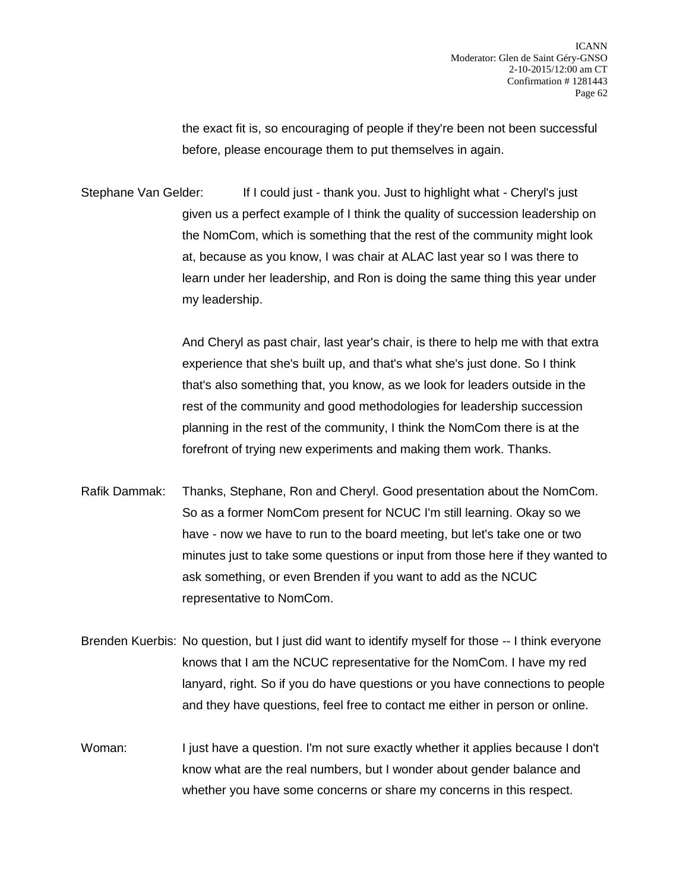the exact fit is, so encouraging of people if they're been not been successful before, please encourage them to put themselves in again.

Stephane Van Gelder: If I could just - thank you. Just to highlight what - Cheryl's just given us a perfect example of I think the quality of succession leadership on the NomCom, which is something that the rest of the community might look at, because as you know, I was chair at ALAC last year so I was there to learn under her leadership, and Ron is doing the same thing this year under my leadership.

> And Cheryl as past chair, last year's chair, is there to help me with that extra experience that she's built up, and that's what she's just done. So I think that's also something that, you know, as we look for leaders outside in the rest of the community and good methodologies for leadership succession planning in the rest of the community, I think the NomCom there is at the forefront of trying new experiments and making them work. Thanks.

- Rafik Dammak: Thanks, Stephane, Ron and Cheryl. Good presentation about the NomCom. So as a former NomCom present for NCUC I'm still learning. Okay so we have - now we have to run to the board meeting, but let's take one or two minutes just to take some questions or input from those here if they wanted to ask something, or even Brenden if you want to add as the NCUC representative to NomCom.
- Brenden Kuerbis: No question, but I just did want to identify myself for those -- I think everyone knows that I am the NCUC representative for the NomCom. I have my red lanyard, right. So if you do have questions or you have connections to people and they have questions, feel free to contact me either in person or online.
- Woman: I just have a question. I'm not sure exactly whether it applies because I don't know what are the real numbers, but I wonder about gender balance and whether you have some concerns or share my concerns in this respect.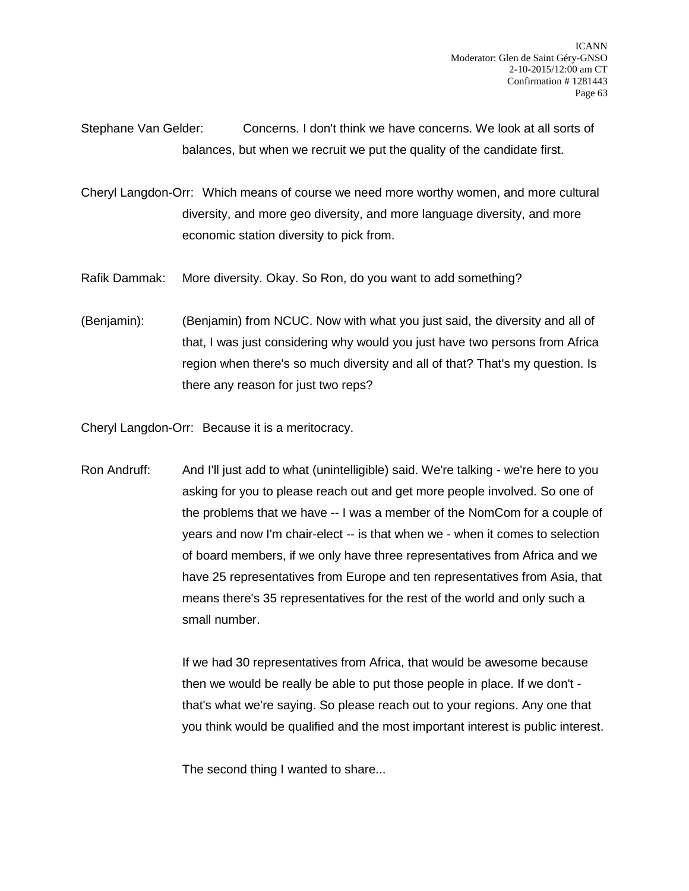- Stephane Van Gelder: Concerns. I don't think we have concerns. We look at all sorts of balances, but when we recruit we put the quality of the candidate first.
- Cheryl Langdon-Orr: Which means of course we need more worthy women, and more cultural diversity, and more geo diversity, and more language diversity, and more economic station diversity to pick from.
- Rafik Dammak: More diversity. Okay. So Ron, do you want to add something?
- (Benjamin): (Benjamin) from NCUC. Now with what you just said, the diversity and all of that, I was just considering why would you just have two persons from Africa region when there's so much diversity and all of that? That's my question. Is there any reason for just two reps?

Cheryl Langdon-Orr: Because it is a meritocracy.

Ron Andruff: And I'll just add to what (unintelligible) said. We're talking - we're here to you asking for you to please reach out and get more people involved. So one of the problems that we have -- I was a member of the NomCom for a couple of years and now I'm chair-elect -- is that when we - when it comes to selection of board members, if we only have three representatives from Africa and we have 25 representatives from Europe and ten representatives from Asia, that means there's 35 representatives for the rest of the world and only such a small number.

> If we had 30 representatives from Africa, that would be awesome because then we would be really be able to put those people in place. If we don't that's what we're saying. So please reach out to your regions. Any one that you think would be qualified and the most important interest is public interest.

The second thing I wanted to share...